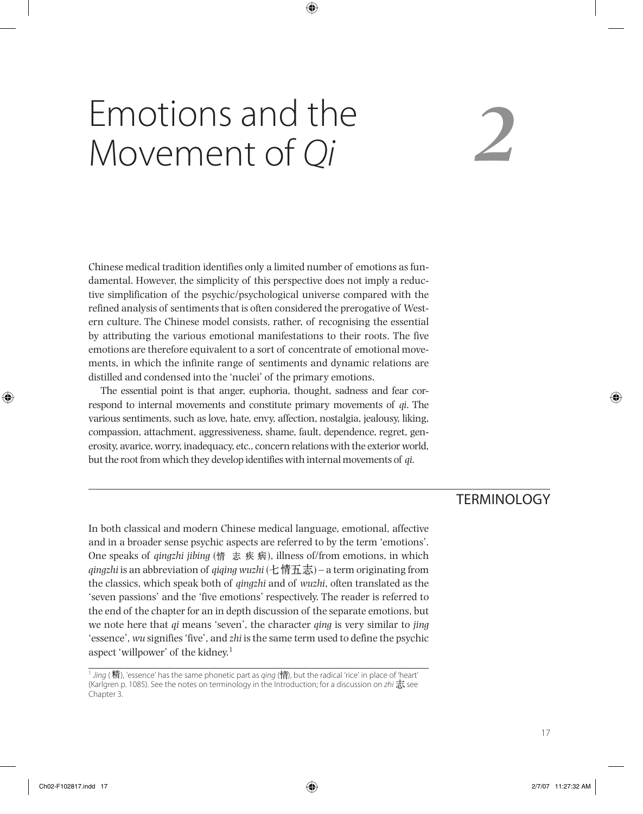# Emotions and the Movement of *Qi*

*2*

Chinese medical tradition identifies only a limited number of emotions as fundamental. However, the simplicity of this perspective does not imply a reductive simplification of the psychic/psychological universe compared with the refined analysis of sentiments that is often considered the prerogative of Western culture. The Chinese model consists, rather, of recognising the essential by attributing the various emotional manifestations to their roots. The five emotions are therefore equivalent to a sort of concentrate of emotional movements, in which the infinite range of sentiments and dynamic relations are distilled and condensed into the 'nuclei' of the primary emotions.

 $\bigcirc$ 

The essential point is that anger, euphoria, thought, sadness and fear correspond to internal movements and constitute primary movements of *qi*. The various sentiments, such as love, hate, envy, affection, nostalgia, jealousy, liking, compassion, attachment, aggressiveness, shame, fault, dependence, regret, generosity, avarice, worry, inadequacy, etc., concern relations with the exterior world, but the root from which they develop identifies with internal movements of *qi*.

**TERMINOLOGY** 

In both classical and modern Chinese medical language, emotional, affective and in a broader sense psychic aspects are referred to by the term 'emotions'. One speaks of *qingzhi jibing* (情 志 疾 病), illness of/from emotions, in which *qingzhi* is an abbreviation of *qiqing wuzhi* (七情五志) – a term originating from the classics, which speak both of *qingzhi* and of *wuzhi*, often translated as the 'seven passions' and the 'five emotions' respectively. The reader is referred to the end of the chapter for an in depth discussion of the separate emotions, but we note here that *qi* means 'seven', the character *qing* is very similar to *jing* 'essence', *wu* signifies 'five', and *zhi* is the same term used to define the psychic aspect 'willpower' of the kidney.1

⊕

<sup>&</sup>lt;sup>1</sup> Jing (精), 'essence' has the same phonetic part as *qing* (情), but the radical 'rice' in place of 'heart' (Karlgren p. 1085). See the notes on terminology in the Introduction; for a discussion on *zhi* see Chapter 3.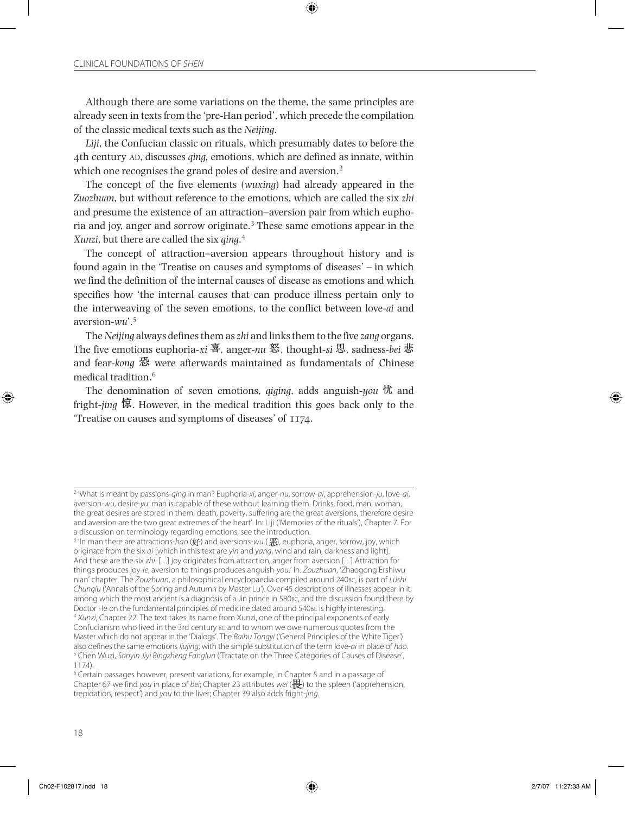Although there are some variations on the theme, the same principles are already seen in texts from the 'pre-Han period', which precede the compilation of the classic medical texts such as the *Neijing*.

⊕

*Liji*, the Confucian classic on rituals, which presumably dates to before the 4th century AD, discusses *qing,* emotions, which are defined as innate, within which one recognises the grand poles of desire and aversion.<sup>2</sup>

The concept of the five elements (*wuxing*) had already appeared in the *Zuozhuan*, but without reference to the emotions, which are called the six *zhi* and presume the existence of an attraction–aversion pair from which euphoria and joy, anger and sorrow originate.3 These same emotions appear in the *Xunzi*, but there are called the six *qing*. 4

The concept of attraction–aversion appears throughout history and is found again in the 'Treatise on causes and symptoms of diseases' – in which we find the definition of the internal causes of disease as emotions and which specifies how 'the internal causes that can produce illness pertain only to the interweaving of the seven emotions, to the conflict between love-*ai* and aversion-*wu*'.5

The *Neijing* always defines them as *zhi* and links them to the five *zang* organs. The five emotions euphoria-*xi* 喜, anger-*nu* 怒, thought-*si* 思, sadness-*bei* 悲 and fear-*kong* 恐 were afterwards maintained as fundamentals of Chinese medical tradition.<sup>6</sup>

The denomination of seven emotions, *qiging*, adds anguish-*you*  $\hat{\pi}$  and fright-*jing* . However, in the medical tradition this goes back only to the 'Treatise on causes and symptoms of diseases' of 1174.

<sup>2</sup> 'What is meant by passions-*qing* in man? Euphoria-*xi*, anger-*nu*, sorrow-*ai*, apprehension-*ju*, love-*ai*, aversion-*wu*, desire-*yu*: man is capable of these without learning them. Drinks, food, man, woman, the great desires are stored in them; death, poverty, suffering are the great aversions, therefore desire and aversion are the two great extremes of the heart'. In: Liji ('Memories of the rituals'), Chapter 7. For a discussion on terminology regarding emotions, see the introduction.

<sup>&</sup>lt;sup>3</sup> 'In man there are attractions-*hao* (好) and aversions-*wu* (恶), euphoria, anger, sorrow, joy, which originate from the six *qi* [which in this text are *yin* and *yang*, wind and rain, darkness and light]. And these are the six *zhi*. [. . .] joy originates from attraction, anger from aversion [. . .] Attraction for things produces joy-*le*, aversion to things produces anguish-*you*.' In: *Zouzhuan*, 'Zhaogong Ershiwu nian' chapter. The *Zouzhuan*, a philosophical encyclopaedia compiled around 240BC, is part of *Lüshi Chunqiu* ('Annals of the Spring and Autumn by Master Lu'). Over 45 descriptions of illnesses appear in it, among which the most ancient is a diagnosis of a Jin prince in 580BC, and the discussion found there by Doctor He on the fundamental principles of medicine dated around 540BC is highly interesting. <sup>4</sup> *Xunzi*, Chapter 22. The text takes its name from Xunzi, one of the principal exponents of early Confucianism who lived in the 3rd century BC and to whom we owe numerous quotes from the Master which do not appear in the 'Dialogs'. The *Baihu Tongyi* ('General Principles of the White Tiger') also defines the same emotions *liujing*, with the simple substitution of the term love-*ai* in place of *hao*. 5 Chen Wuzi, *Sanyin Jiyi Bingzheng Fanglun* ('Tractate on the Three Categories of Causes of Disease', 1174).

<sup>&</sup>lt;sup>6</sup> Certain passages however, present variations, for example, in Chapter 5 and in a passage of Chapter 67 we find *you* in place of *bei*; Chapter 23 attributes *wei* ( ) to the spleen ('apprehension, trepidation, respect') and *you* to the liver; Chapter 39 also adds fright-*jing*.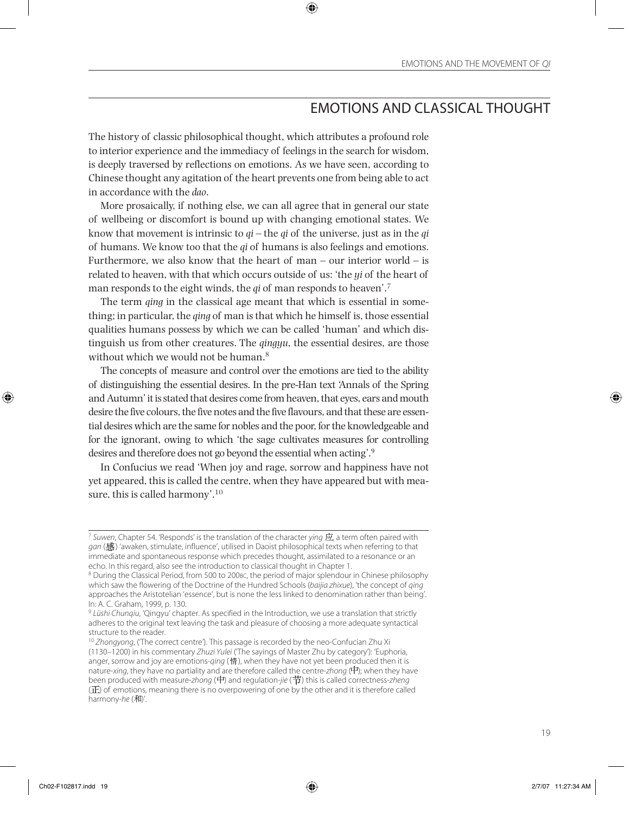# EMOTIONS AND CLASSICAL THOUGHT

The history of classic philosophical thought, which attributes a profound role to interior experience and the immediacy of feelings in the search for wisdom, is deeply traversed by reflections on emotions. As we have seen, according to Chinese thought any agitation of the heart prevents one from being able to act in accordance with the *dao*.

 $\bigcirc$ 

More prosaically, if nothing else, we can all agree that in general our state of wellbeing or discomfort is bound up with changing emotional states. We know that movement is intrinsic to *qi* – the *qi* of the universe, just as in the *qi* of humans. We know too that the *qi* of humans is also feelings and emotions. Furthermore, we also know that the heart of man – our interior world – is related to heaven, with that which occurs outside of us: 'the *yi* of the heart of man responds to the eight winds, the *qi* of man responds to heaven'.7

The term *qing* in the classical age meant that which is essential in something; in particular, the *qing* of man is that which he himself is, those essential qualities humans possess by which we can be called 'human' and which distinguish us from other creatures. The *qingyu*, the essential desires, are those without which we would not be human.<sup>8</sup>

The concepts of measure and control over the emotions are tied to the ability of distinguishing the essential desires. In the pre-Han text 'Annals of the Spring and Autumn' it is stated that desires come from heaven, that eyes, ears and mouth desire the five colours, the five notes and the five flavours, and that these are essential desires which are the same for nobles and the poor, for the knowledgeable and for the ignorant, owing to which 'the sage cultivates measures for controlling desires and therefore does not go beyond the essential when acting'.<sup>9</sup>

In Confucius we read 'When joy and rage, sorrow and happiness have not yet appeared, this is called the centre, when they have appeared but with measure, this is called harmony'.<sup>10</sup>

<sup>7</sup> *Suwen*, Chapter 54. 'Responds' is the translation of the character *ying* , a term often paired with gan (感) 'awaken, stimulate, influence', utilised in Daoist philosophical texts when referring to that immediate and spontaneous response which precedes thought, assimilated to a resonance or an echo. In this regard, also see the introduction to classical thought in Chapter 1.

<sup>&</sup>lt;sup>8</sup> During the Classical Period, from 500 to 200Bc, the period of major splendour in Chinese philosophy which saw the flowering of the Doctrine of the Hundred Schools (*baijia zhixue*), 'the concept of *qing* approaches the Aristotelian 'essence', but is none the less linked to denomination rather than being'. In: A. C. Graham, 1999, p. 130.

<sup>9</sup> *Lüshi Chunqiu*, 'Qingyu' chapter. As specified in the Introduction, we use a translation that strictly adheres to the original text leaving the task and pleasure of choosing a more adequate syntactical structure to the reader.

<sup>&</sup>lt;sup>10</sup> Zhongyong, (The correct centre'). This passage is recorded by the neo-Confucian Zhu Xi (1130–1200) in his commentary *Zhuzi Yulei* ('The sayings of Master Zhu by category'): 'Euphoria, anger, sorrow and joy are emotions-*qing* (情), when they have not yet been produced then it is nature-*xing*, they have no partiality and are therefore called the centre-*zhong* (中); when they have been produced with measure-*zhong* (中) and regulation-jie (节) this is called correctness-zheng ( $E$ ) of emotions, meaning there is no overpowering of one by the other and it is therefore called harmony-he (和)'.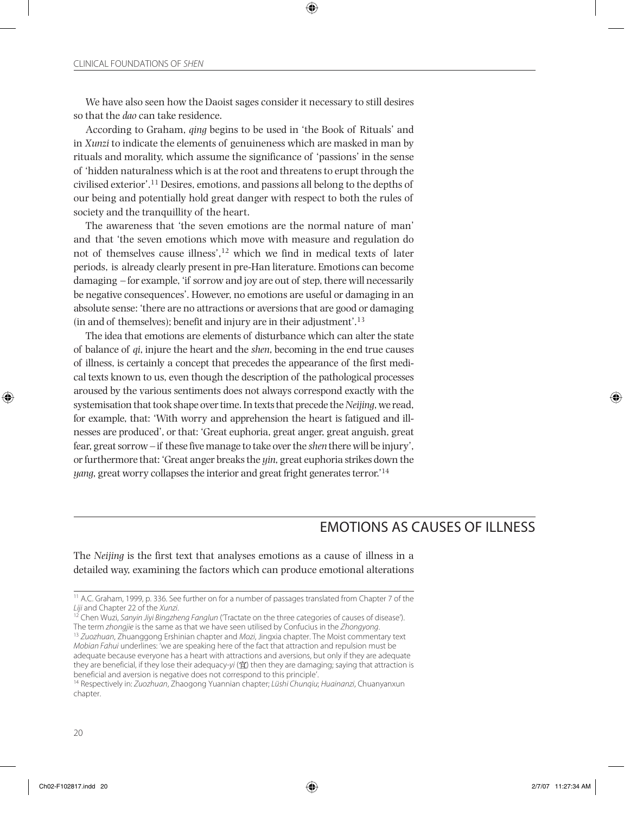We have also seen how the Daoist sages consider it necessary to still desires so that the *dao* can take residence.

⊕

According to Graham, *qing* begins to be used in 'the Book of Rituals' and in *Xunzi* to indicate the elements of genuineness which are masked in man by rituals and morality, which assume the significance of 'passions' in the sense of 'hidden naturalness which is at the root and threatens to erupt through the civilised exterior'.11 Desires, emotions, and passions all belong to the depths of our being and potentially hold great danger with respect to both the rules of society and the tranquillity of the heart.

The awareness that 'the seven emotions are the normal nature of man' and that 'the seven emotions which move with measure and regulation do not of themselves cause illness',12 which we find in medical texts of later periods, is already clearly present in pre-Han literature. Emotions can become damaging – for example, 'if sorrow and joy are out of step, there will necessarily be negative consequences'. However, no emotions are useful or damaging in an absolute sense: 'there are no attractions or aversions that are good or damaging (in and of themselves); benefit and injury are in their adjustment'.13

The idea that emotions are elements of disturbance which can alter the state of balance of *qi*, injure the heart and the *shen*, becoming in the end true causes of illness, is certainly a concept that precedes the appearance of the first medical texts known to us, even though the description of the pathological processes aroused by the various sentiments does not always correspond exactly with the systemisation that took shape over time. In texts that precede the *Neijing*, we read, for example, that: 'With worry and apprehension the heart is fatigued and illnesses are produced', or that: 'Great euphoria, great anger, great anguish, great fear, great sorrow – if these five manage to take over the *shen* there will be injury', or furthermore that: 'Great anger breaks the *yin*, great euphoria strikes down the *yang*, great worry collapses the interior and great fright generates terror.'14

# EMOTIONS AS CAUSES OF ILLNESS

The *Neijing* is the first text that analyses emotions as a cause of illness in a detailed way, examining the factors which can produce emotional alterations

<sup>12</sup> Chen Wuzi, Sanyin Jiyi Bingzheng Fanglun (Tractate on the three categories of causes of disease'). The term *zhongjie* is the same as that we have seen utilised by Confucius in the *Zhongyong*. <sup>13</sup> *Zuozhuan*, Zhuanggong Ershinian chapter and *Mozi*, Jingxia chapter. The Moist commentary text *Mobian Fahui* underlines: 'we are speaking here of the fact that attraction and repulsion must be adequate because everyone has a heart with attractions and aversions, but only if they are adequate they are beneficial, if they lose their adequacy-yi ( $\hat{H}$ ) then they are damaging; saying that attraction is beneficial and aversion is negative does not correspond to this principle'.

⊕

<sup>11</sup> A.C. Graham, 1999, p. 336. See further on for a number of passages translated from Chapter 7 of the *Liji* and Chapter 22 of the *Xunzi*.

<sup>14</sup> Respectively in: *Zuozhuan*, Zhaogong Yuannian chapter; *Lüshi Chunqiu*; *Huainanzi*, Chuanyanxun chapter.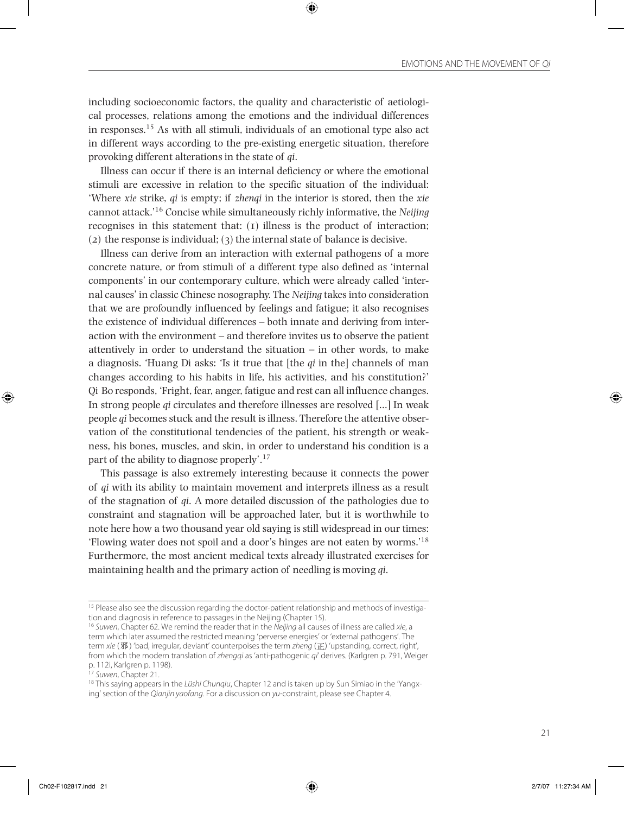including socioeconomic factors, the quality and characteristic of aetiological processes, relations among the emotions and the individual differences in responses.15 As with all stimuli, individuals of an emotional type also act in different ways according to the pre-existing energetic situation, therefore provoking different alterations in the state of *qi*.

 $\bigcirc$ 

Illness can occur if there is an internal deficiency or where the emotional stimuli are excessive in relation to the specific situation of the individual: 'Where *xie* strike, *qi* is empty; if *zhenqi* in the interior is stored, then the *xie* cannot attack.'16 Concise while simultaneously richly informative, the *Neijing* recognises in this statement that: (1) illness is the product of interaction; (2) the response is individual; (3) the internal state of balance is decisive.

Illness can derive from an interaction with external pathogens of a more concrete nature, or from stimuli of a different type also defined as 'internal components' in our contemporary culture, which were already called 'internal causes' in classic Chinese nosography. The *Neijing* takes into consideration that we are profoundly influenced by feelings and fatigue; it also recognises the existence of individual differences – both innate and deriving from interaction with the environment – and therefore invites us to observe the patient attentively in order to understand the situation – in other words, to make a diagnosis. 'Huang Di asks: 'Is it true that [the *qi* in the] channels of man changes according to his habits in life, his activities, and his constitution?' Qi Bo responds, 'Fright, fear, anger, fatigue and rest can all influence changes. In strong people *qi* circulates and therefore illnesses are resolved […] In weak people *qi* becomes stuck and the result is illness. Therefore the attentive observation of the constitutional tendencies of the patient, his strength or weakness, his bones, muscles, and skin, in order to understand his condition is a part of the ability to diagnose properly'.17

This passage is also extremely interesting because it connects the power of *qi* with its ability to maintain movement and interprets illness as a result of the stagnation of *qi*. A more detailed discussion of the pathologies due to constraint and stagnation will be approached later, but it is worthwhile to note here how a two thousand year old saying is still widespread in our times: 'Flowing water does not spoil and a door's hinges are not eaten by worms.'18 Furthermore, the most ancient medical texts already illustrated exercises for maintaining health and the primary action of needling is moving *qi*.

<sup>16</sup> *Suwen*, Chapter 62. We remind the reader that in the *Neijing* all causes of illness are called *xie*, a term which later assumed the restricted meaning 'perverse energies' or 'external pathogens'. The term *xie* (邪) 'bad, irregular, deviant' counterpoises the term *zheng* (正) 'upstanding, correct, right', from which the modern translation of *zhengqi* as 'anti-pathogenic *qi*' derives. (Karlgren p. 791, Weiger p. 112i, Karlgren p. 1198).

<sup>&</sup>lt;sup>15</sup> Please also see the discussion regarding the doctor-patient relationship and methods of investigation and diagnosis in reference to passages in the Neijing (Chapter 15).

<sup>17</sup> *Suwen*, Chapter 21.

<sup>18</sup> This saying appears in the *Lüshi Chunqiu*, Chapter 12 and is taken up by Sun Simiao in the 'Yangxing' section of the *Qianjin yaofang*. For a discussion on *yu*-constraint, please see Chapter 4.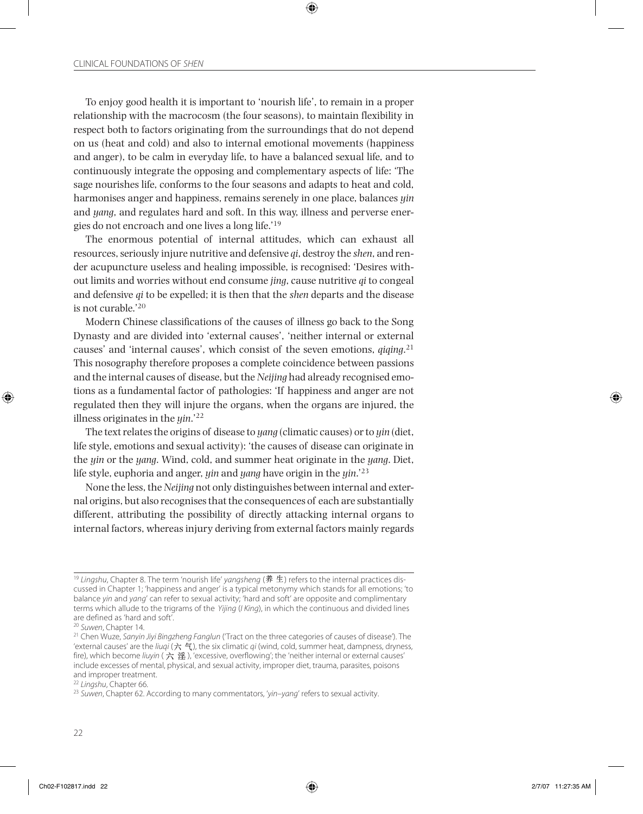To enjoy good health it is important to 'nourish life', to remain in a proper relationship with the macrocosm (the four seasons), to maintain flexibility in respect both to factors originating from the surroundings that do not depend on us (heat and cold) and also to internal emotional movements (happiness and anger), to be calm in everyday life, to have a balanced sexual life, and to continuously integrate the opposing and complementary aspects of life: 'The sage nourishes life, conforms to the four seasons and adapts to heat and cold, harmonises anger and happiness, remains serenely in one place, balances *yin* and *yang*, and regulates hard and soft. In this way, illness and perverse energies do not encroach and one lives a long life.'19

⊕

The enormous potential of internal attitudes, which can exhaust all resources, seriously injure nutritive and defensive *qi*, destroy the *shen*, and render acupuncture useless and healing impossible, is recognised: 'Desires without limits and worries without end consume *jing*, cause nutritive *qi* to congeal and defensive *qi* to be expelled; it is then that the *shen* departs and the disease is not curable.'20

Modern Chinese classifications of the causes of illness go back to the Song Dynasty and are divided into 'external causes', 'neither internal or external causes' and 'internal causes', which consist of the seven emotions, *qiqing*. 21 This nosography therefore proposes a complete coincidence between passions and the internal causes of disease, but the *Neijing* had already recognised emotions as a fundamental factor of pathologies: 'If happiness and anger are not regulated then they will injure the organs, when the organs are injured, the illness originates in the *yin*.'22

The text relates the origins of disease to *yang* (climatic causes) or to *yin* (diet, life style, emotions and sexual activity): 'the causes of disease can originate in the *yin* or the *yang*. Wind, cold, and summer heat originate in the *yang*. Diet, life style, euphoria and anger, *yin* and *yang* have origin in the *yin*.'23

None the less, the *Neijing* not only distinguishes between internal and external origins, but also recognises that the consequences of each are substantially different, attributing the possibility of directly attacking internal organs to internal factors, whereas injury deriving from external factors mainly regards

<sup>22</sup> *Lingshu*, Chapter 66.

<sup>&</sup>lt;sup>19</sup> Lingshu, Chapter 8. The term 'nourish life' yangsheng (养生) refers to the internal practices discussed in Chapter 1; 'happiness and anger' is a typical metonymy which stands for all emotions; 'to balance *yin* and *yang*' can refer to sexual activity; 'hard and soft' are opposite and complimentary terms which allude to the trigrams of the *Yijing* (*I King*), in which the continuous and divided lines are defined as 'hard and soft'.

<sup>20</sup> *Suwen*, Chapter 14.

<sup>&</sup>lt;sup>21</sup> Chen Wuze, Sanyin Jiyi Bingzheng Fanglun ('Tract on the three categories of causes of disease'). The 'external causes' are the *liuqi* (六 气), the six climatic *qi* (wind, cold, summer heat, dampness, dryness, fire), which become *liuyin* (六 淫), 'excessive, overflowing'; the 'neither internal or external causes' include excesses of mental, physical, and sexual activity, improper diet, trauma, parasites, poisons and improper treatment.

<sup>23</sup> *Suwen*, Chapter 62. According to many commentators, '*yin*–*yang*' refers to sexual activity.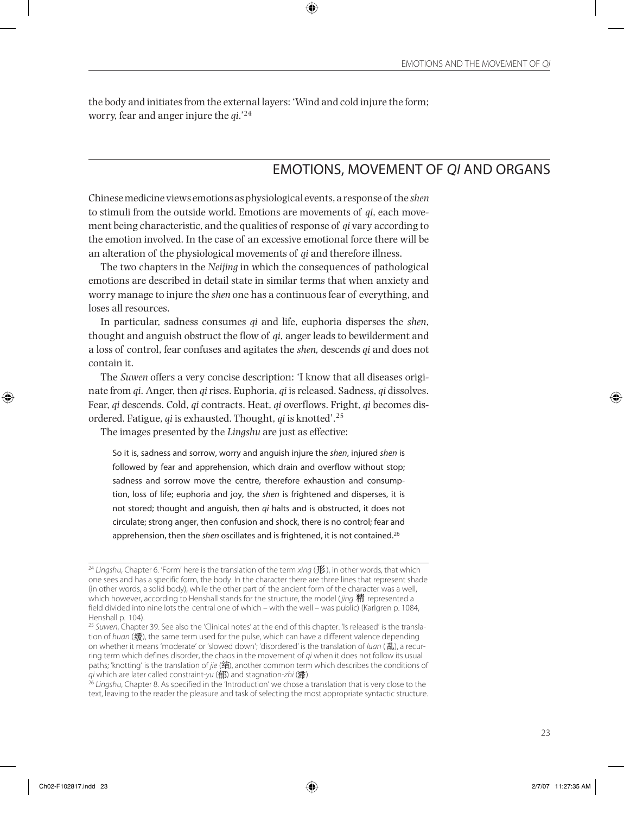the body and initiates from the external layers: 'Wind and cold injure the form; worry, fear and anger injure the *qi*.'24

⊕

# EMOTIONS, MOVEMENT OF *QI* AND ORGANS

Chinese medicine views emotions as physiological events, a response of the *shen* to stimuli from the outside world. Emotions are movements of *qi*, each movement being characteristic, and the qualities of response of *qi* vary according to the emotion involved. In the case of an excessive emotional force there will be an alteration of the physiological movements of *qi* and therefore illness.

The two chapters in the *Neijing* in which the consequences of pathological emotions are described in detail state in similar terms that when anxiety and worry manage to injure the *shen* one has a continuous fear of everything, and loses all resources.

In particular, sadness consumes *qi* and life, euphoria disperses the *shen*, thought and anguish obstruct the flow of *qi*, anger leads to bewilderment and a loss of control, fear confuses and agitates the *shen,* descends *qi* and does not contain it.

The *Suwen* offers a very concise description: 'I know that all diseases originate from *qi*. Anger, then *qi* rises. Euphoria, *qi* is released. Sadness, *qi* dissolves. Fear, *qi* descends. Cold, *qi* contracts. Heat, *qi* overflows. Fright, *qi* becomes disordered. Fatigue, *qi* is exhausted. Thought, *qi* is knotted'.25

The images presented by the *Lingshu* are just as effective:

So it is, sadness and sorrow, worry and anguish injure the *shen*, injured *shen* is followed by fear and apprehension, which drain and overflow without stop; sadness and sorrow move the centre, therefore exhaustion and consumption, loss of life; euphoria and joy, the *shen* is frightened and disperses, it is not stored; thought and anguish, then *qi* halts and is obstructed, it does not circulate; strong anger, then confusion and shock, there is no control; fear and apprehension, then the *shen* oscillates and is frightened, it is not contained.<sup>26</sup>

<sup>&</sup>lt;sup>24</sup> *Lingshu*, Chapter 6. 'Form' here is the translation of the term *xing* (形), in other words, that which one sees and has a specific form, the body. In the character there are three lines that represent shade (in other words, a solid body), while the other part of the ancient form of the character was a well, which however, according to Henshall stands for the structure, the model (*jing* 精 represented a field divided into nine lots the central one of which – with the well – was public) (Karlgren p. 1084, Henshall p. 104).

<sup>25</sup> *Suwen*, Chapter 39. See also the 'Clinical notes' at the end of this chapter. 'Is released' is the translation of *huan* (缓), the same term used for the pulse, which can have a different valence depending on whether it means 'moderate' or 'slowed down'; 'disordered' is the translation of *luan* (乱), a recurring term which defines disorder, the chaos in the movement of *qi* when it does not follow its usual paths; 'knotting' is the translation of *jie* (结), another common term which describes the conditions of *gi* which are later called constraint-yu (郁) and stagnation-zhi (滞).

<sup>&</sup>lt;sup>26</sup> Lingshu, Chapter 8. As specified in the 'Introduction' we chose a translation that is very close to the text, leaving to the reader the pleasure and task of selecting the most appropriate syntactic structure.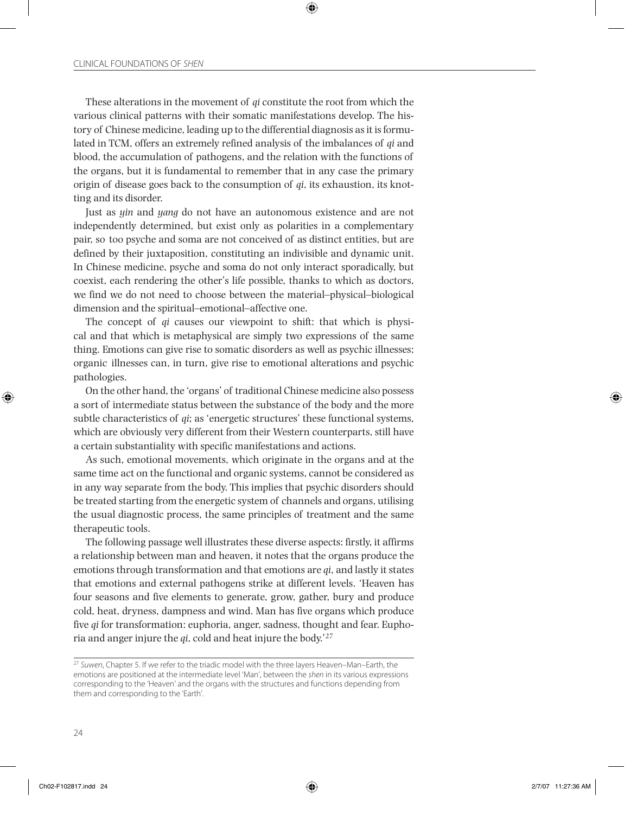These alterations in the movement of *qi* constitute the root from which the various clinical patterns with their somatic manifestations develop. The history of Chinese medicine, leading up to the differential diagnosis as it is formulated in TCM, offers an extremely refined analysis of the imbalances of *qi* and blood, the accumulation of pathogens, and the relation with the functions of the organs, but it is fundamental to remember that in any case the primary origin of disease goes back to the consumption of *qi*, its exhaustion, its knotting and its disorder.

⊕

Just as *yin* and *yang* do not have an autonomous existence and are not independently determined, but exist only as polarities in a complementary pair, so too psyche and soma are not conceived of as distinct entities, but are defined by their juxtaposition, constituting an indivisible and dynamic unit. In Chinese medicine, psyche and soma do not only interact sporadically, but coexist, each rendering the other's life possible, thanks to which as doctors, we find we do not need to choose between the material–physical–biological dimension and the spiritual–emotional–affective one.

The concept of *qi* causes our viewpoint to shift: that which is physical and that which is metaphysical are simply two expressions of the same thing. Emotions can give rise to somatic disorders as well as psychic illnesses; organic illnesses can, in turn, give rise to emotional alterations and psychic pathologies.

On the other hand, the 'organs' of traditional Chinese medicine also possess a sort of intermediate status between the substance of the body and the more subtle characteristics of *qi*; as 'energetic structures' these functional systems, which are obviously very different from their Western counterparts, still have a certain substantiality with specific manifestations and actions.

As such, emotional movements, which originate in the organs and at the same time act on the functional and organic systems, cannot be considered as in any way separate from the body. This implies that psychic disorders should be treated starting from the energetic system of channels and organs, utilising the usual diagnostic process, the same principles of treatment and the same therapeutic tools.

The following passage well illustrates these diverse aspects: firstly, it affirms a relationship between man and heaven, it notes that the organs produce the emotions through transformation and that emotions are *qi*, and lastly it states that emotions and external pathogens strike at different levels. 'Heaven has four seasons and five elements to generate, grow, gather, bury and produce cold, heat, dryness, dampness and wind. Man has five organs which produce five *qi* for transformation: euphoria, anger, sadness, thought and fear. Euphoria and anger injure the *qi*, cold and heat injure the body.'27

⊕

<sup>27</sup> *Suwen*, Chapter 5. If we refer to the triadic model with the three layers Heaven–Man–Earth, the emotions are positioned at the intermediate level 'Man', between the *shen* in its various expressions corresponding to the 'Heaven' and the organs with the structures and functions depending from them and corresponding to the 'Earth'.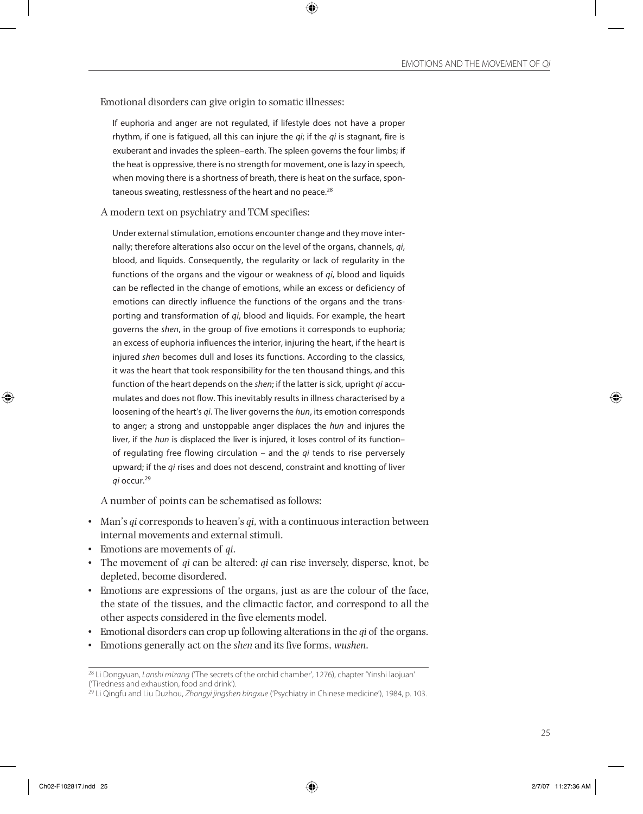Emotional disorders can give origin to somatic illnesses:

If euphoria and anger are not regulated, if lifestyle does not have a proper rhythm, if one is fatigued, all this can injure the *qi*; if the *qi* is stagnant, fire is exuberant and invades the spleen–earth. The spleen governs the four limbs; if the heat is oppressive, there is no strength for movement, one is lazy in speech, when moving there is a shortness of breath, there is heat on the surface, spontaneous sweating, restlessness of the heart and no peace.<sup>28</sup>

 $\bigcirc$ 

A modern text on psychiatry and TCM specifies:

Under external stimulation, emotions encounter change and they move internally; therefore alterations also occur on the level of the organs, channels, *qi*, blood, and liquids. Consequently, the regularity or lack of regularity in the functions of the organs and the vigour or weakness of *qi*, blood and liquids can be reflected in the change of emotions, while an excess or deficiency of emotions can directly influence the functions of the organs and the transporting and transformation of *qi*, blood and liquids. For example, the heart governs the *shen*, in the group of five emotions it corresponds to euphoria; an excess of euphoria influences the interior, injuring the heart, if the heart is injured *shen* becomes dull and loses its functions. According to the classics, it was the heart that took responsibility for the ten thousand things, and this function of the heart depends on the *shen*; if the latter is sick, upright *qi* accumulates and does not flow. This inevitably results in illness characterised by a loosening of the heart's *qi*. The liver governs the *hun*, its emotion corresponds to anger; a strong and unstoppable anger displaces the *hun* and injures the liver, if the *hun* is displaced the liver is injured, it loses control of its function– of regulating free flowing circulation – and the *qi* tends to rise perversely upward; if the *qi* rises and does not descend, constraint and knotting of liver *qi* occur.29

A number of points can be schematised as follows:

- Man's *qi* corresponds to heaven's *qi*, with a continuous interaction between internal movements and external stimuli.
- Emotions are movements of *qi*.
- The movement of *qi* can be altered: *qi* can rise inversely, disperse, knot, be depleted, become disordered.
- Emotions are expressions of the organs, just as are the colour of the face, the state of the tissues, and the climactic factor, and correspond to all the other aspects considered in the five elements model.
- Emotional disorders can crop up following alterations in the *qi* of the organs.
- Emotions generally act on the *shen* and its five forms, *wushen*.

<sup>&</sup>lt;sup>28</sup> Li Dongyuan, *Lanshi mizang* ('The secrets of the orchid chamber', 1276), chapter 'Yinshi laojuan' ('Tiredness and exhaustion, food and drink').

<sup>29</sup> Li Qingfu and Liu Duzhou, *Zhongyi jingshen bingxue* ('Psychiatry in Chinese medicine'), 1984, p. 103.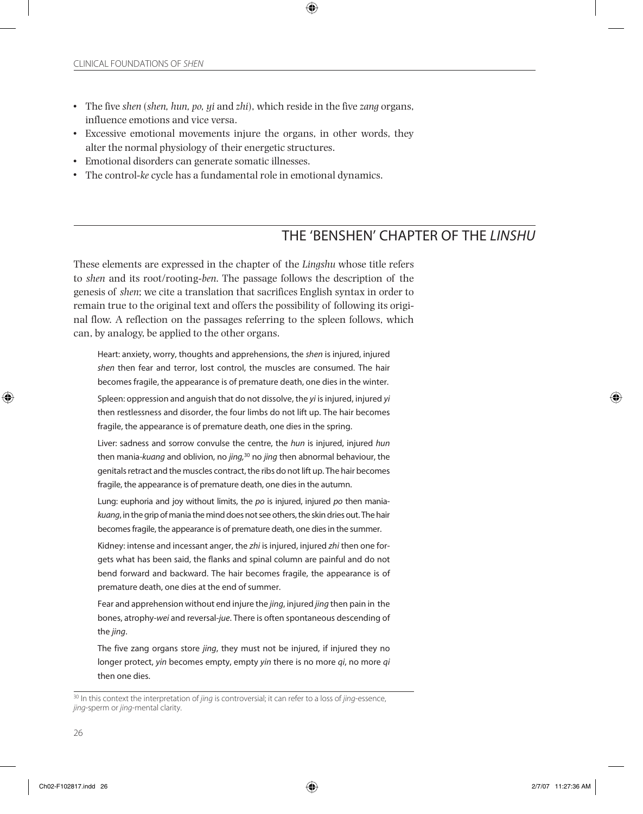● The five *shen* (*shen, hun, po, yi* and *zhi*), which reside in the five *zang* organs, influence emotions and vice versa.

 $\bigcirc$ 

- Excessive emotional movements injure the organs, in other words, they alter the normal physiology of their energetic structures.
- Emotional disorders can generate somatic illnesses.
- The control-*ke* cycle has a fundamental role in emotional dynamics.

# THE 'BENSHEN' CHAPTER OF THE *LINSHU*

These elements are expressed in the chapter of the *Lingshu* whose title refers to *shen* and its root/rooting-*ben*. The passage follows the description of the genesis of *shen*; we cite a translation that sacrifices English syntax in order to remain true to the original text and offers the possibility of following its original flow. A reflection on the passages referring to the spleen follows, which can, by analogy, be applied to the other organs.

Heart: anxiety, worry, thoughts and apprehensions, the *shen* is injured, injured *shen* then fear and terror, lost control, the muscles are consumed. The hair becomes fragile, the appearance is of premature death, one dies in the winter.

Spleen: oppression and anguish that do not dissolve, the *yi* is injured, injured *yi* then restlessness and disorder, the four limbs do not lift up. The hair becomes fragile, the appearance is of premature death, one dies in the spring.

Liver: sadness and sorrow convulse the centre, the *hun* is injured, injured *hun* then mania-*kuang* and oblivion, no *jing,*30 no *jing* then abnormal behaviour, the genitals retract and the muscles contract, the ribs do not lift up. The hair becomes fragile, the appearance is of premature death, one dies in the autumn.

Lung: euphoria and joy without limits, the *po* is injured, injured *po* then mania*kuang*, in the grip of mania the mind does not see others, the skin dries out. The hair becomes fragile, the appearance is of premature death, one dies in the summer.

Kidney: intense and incessant anger, the *zhi* is injured, injured *zhi* then one forgets what has been said, the flanks and spinal column are painful and do not bend forward and backward. The hair becomes fragile, the appearance is of premature death, one dies at the end of summer.

Fear and apprehension without end injure the *jing*, injured *jing* then pain in the bones, atrophy-*wei* and reversal-*jue*. There is often spontaneous descending of the *jing*.

The five zang organs store *jing*, they must not be injured, if injured they no longer protect, *yin* becomes empty, empty *yin* there is no more *qi*, no more *qi* then one dies.

<sup>30</sup> In this context the interpretation of *jing* is controversial; it can refer to a loss of *jing*-essence, *jing*-sperm or *jing*-mental clarity.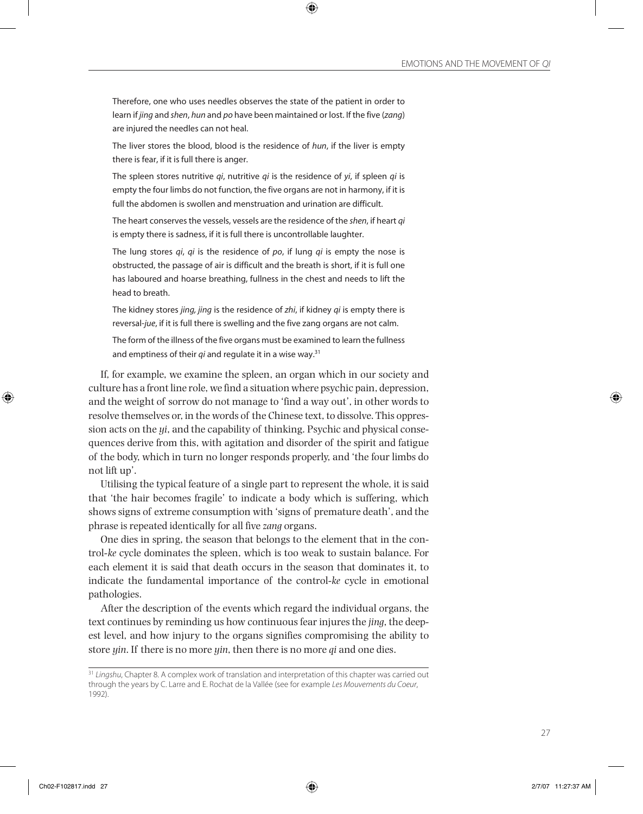Therefore, one who uses needles observes the state of the patient in order to learn if *jing* and *shen*, *hun* and *po* have been maintained or lost. If the five (*zang*) are injured the needles can not heal.

 $\bigcirc$ 

The liver stores the blood, blood is the residence of *hun*, if the liver is empty there is fear, if it is full there is anger.

The spleen stores nutritive *qi*, nutritive *qi* is the residence of *yi*, if spleen *qi* is empty the four limbs do not function, the five organs are not in harmony, if it is full the abdomen is swollen and menstruation and urination are difficult.

The heart conserves the vessels, vessels are the residence of the *shen*, if heart *qi* is empty there is sadness, if it is full there is uncontrollable laughter.

The lung stores *qi*, *qi* is the residence of *po*, if lung *qi* is empty the nose is obstructed, the passage of air is difficult and the breath is short, if it is full one has laboured and hoarse breathing, fullness in the chest and needs to lift the head to breath.

The kidney stores *jing, jing* is the residence of *zhi*, if kidney *qi* is empty there is reversal-*jue*, if it is full there is swelling and the five zang organs are not calm.

The form of the illness of the five organs must be examined to learn the fullness and emptiness of their *qi* and regulate it in a wise way.31

If, for example, we examine the spleen, an organ which in our society and culture has a front line role, we find a situation where psychic pain, depression, and the weight of sorrow do not manage to 'find a way out', in other words to resolve themselves or, in the words of the Chinese text, to dissolve. This oppression acts on the *yi*, and the capability of thinking. Psychic and physical consequences derive from this, with agitation and disorder of the spirit and fatigue of the body, which in turn no longer responds properly, and 'the four limbs do not lift up'.

Utilising the typical feature of a single part to represent the whole, it is said that 'the hair becomes fragile' to indicate a body which is suffering, which shows signs of extreme consumption with 'signs of premature death', and the phrase is repeated identically for all five *zang* organs.

One dies in spring, the season that belongs to the element that in the control-*ke* cycle dominates the spleen, which is too weak to sustain balance. For each element it is said that death occurs in the season that dominates it, to indicate the fundamental importance of the control-*ke* cycle in emotional pathologies.

After the description of the events which regard the individual organs, the text continues by reminding us how continuous fear injures the *jing*, the deepest level, and how injury to the organs signifies compromising the ability to store *yin*. If there is no more *yin*, then there is no more *qi* and one dies.

<sup>31</sup> *Lingshu*, Chapter 8. A complex work of translation and interpretation of this chapter was carried out through the years by C. Larre and E. Rochat de la Vallée (see for example *Les Mouvements du Coeur*, 1992).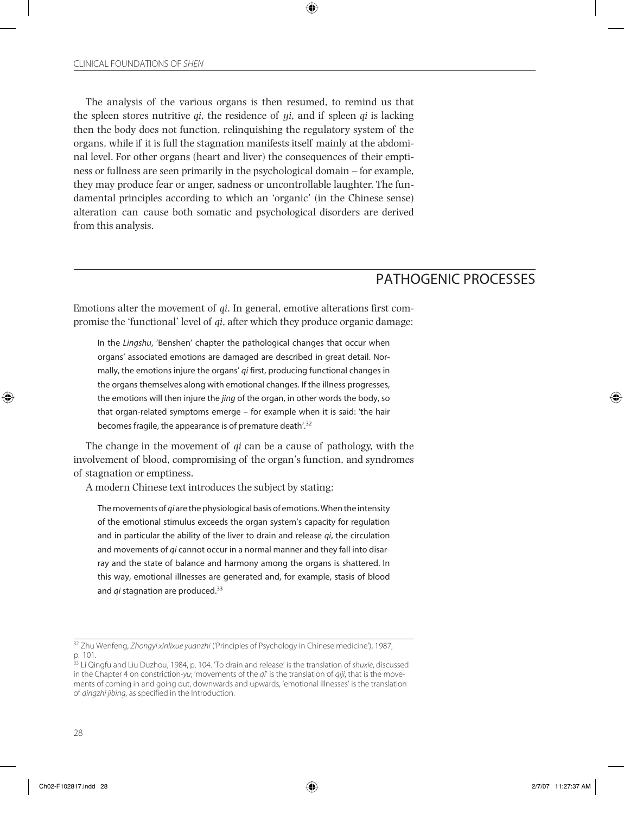The analysis of the various organs is then resumed, to remind us that the spleen stores nutritive *qi*, the residence of *yi*, and if spleen *qi* is lacking then the body does not function, relinquishing the regulatory system of the organs, while if it is full the stagnation manifests itself mainly at the abdominal level. For other organs (heart and liver) the consequences of their emptiness or fullness are seen primarily in the psychological domain – for example, they may produce fear or anger, sadness or uncontrollable laughter. The fundamental principles according to which an 'organic' (in the Chinese sense) alteration can cause both somatic and psychological disorders are derived from this analysis.

 $\bigcirc$ 

## PATHOGENIC PROCESSES

Emotions alter the movement of *qi*. In general, emotive alterations first compromise the 'functional' level of *qi*, after which they produce organic damage:

In the *Lingshu*, 'Benshen' chapter the pathological changes that occur when organs' associated emotions are damaged are described in great detail. Normally, the emotions injure the organs' *qi* first, producing functional changes in the organs themselves along with emotional changes. If the illness progresses, the emotions will then injure the *jing* of the organ, in other words the body, so that organ-related symptoms emerge – for example when it is said: 'the hair becomes fragile, the appearance is of premature death'.<sup>32</sup>

The change in the movement of *qi* can be a cause of pathology, with the involvement of blood, compromising of the organ's function, and syndromes of stagnation or emptiness.

A modern Chinese text introduces the subject by stating:

The movements of *qi* are the physiological basis of emotions. When the intensity of the emotional stimulus exceeds the organ system's capacity for regulation and in particular the ability of the liver to drain and release *qi*, the circulation and movements of *qi* cannot occur in a normal manner and they fall into disarray and the state of balance and harmony among the organs is shattered. In this way, emotional illnesses are generated and, for example, stasis of blood and *qi* stagnation are produced.<sup>33</sup>

⊕

<sup>32</sup> Zhu Wenfeng, *Zhongyi xinlixue yuanzhi* ('Principles of Psychology in Chinese medicine'), 1987, p. 101.

<sup>33</sup> Li Qingfu and Liu Duzhou, 1984, p. 104. 'To drain and release' is the translation of *shuxie*, discussed in the Chapter 4 on constriction-*yu*; 'movements of the *qi*' is the translation of *qiji*, that is the movements of coming in and going out, downwards and upwards, 'emotional illnesses' is the translation of *qingzhi jibing*, as specified in the Introduction.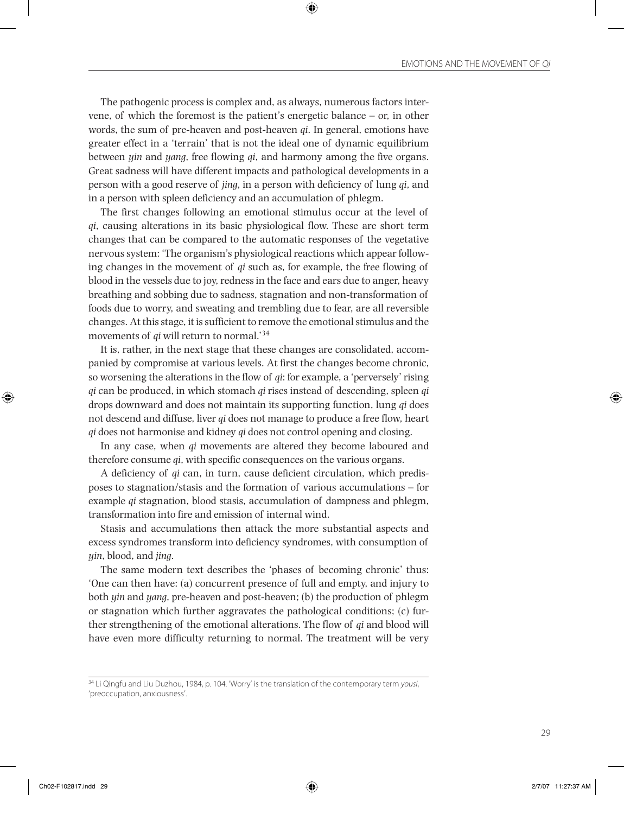The pathogenic process is complex and, as always, numerous factors intervene, of which the foremost is the patient's energetic balance – or, in other words, the sum of pre-heaven and post-heaven *qi*. In general, emotions have greater effect in a 'terrain' that is not the ideal one of dynamic equilibrium between *yin* and *yang*, free flowing *qi*, and harmony among the five organs. Great sadness will have different impacts and pathological developments in a person with a good reserve of *jing*, in a person with deficiency of lung *qi*, and in a person with spleen deficiency and an accumulation of phlegm.

 $\bigcirc$ 

The first changes following an emotional stimulus occur at the level of *qi*, causing alterations in its basic physiological flow. These are short term changes that can be compared to the automatic responses of the vegetative nervous system: 'The organism's physiological reactions which appear following changes in the movement of *qi* such as, for example, the free flowing of blood in the vessels due to joy, redness in the face and ears due to anger, heavy breathing and sobbing due to sadness, stagnation and non-transformation of foods due to worry, and sweating and trembling due to fear, are all reversible changes. At this stage, it is sufficient to remove the emotional stimulus and the movements of *qi* will return to normal.'34

It is, rather, in the next stage that these changes are consolidated, accompanied by compromise at various levels. At first the changes become chronic, so worsening the alterations in the flow of *qi*: for example, a 'perversely' rising *qi* can be produced, in which stomach *qi* rises instead of descending, spleen *qi* drops downward and does not maintain its supporting function, lung *qi* does not descend and diffuse, liver *qi* does not manage to produce a free flow, heart *qi* does not harmonise and kidney *qi* does not control opening and closing.

In any case, when *qi* movements are altered they become laboured and therefore consume *qi*, with specific consequences on the various organs.

A deficiency of *qi* can, in turn, cause deficient circulation, which predisposes to stagnation/stasis and the formation of various accumulations – for example *qi* stagnation, blood stasis, accumulation of dampness and phlegm, transformation into fire and emission of internal wind.

Stasis and accumulations then attack the more substantial aspects and excess syndromes transform into deficiency syndromes, with consumption of *yin*, blood, and *jing*.

The same modern text describes the 'phases of becoming chronic' thus: 'One can then have: (a) concurrent presence of full and empty, and injury to both *yin* and *yang*, pre-heaven and post-heaven; (b) the production of phlegm or stagnation which further aggravates the pathological conditions; (c) further strengthening of the emotional alterations. The flow of *qi* and blood will have even more difficulty returning to normal. The treatment will be very

⊕

<sup>34</sup> Li Qingfu and Liu Duzhou, 1984, p. 104. 'Worry' is the translation of the contemporary term *yousi*, 'preoccupation, anxiousness'.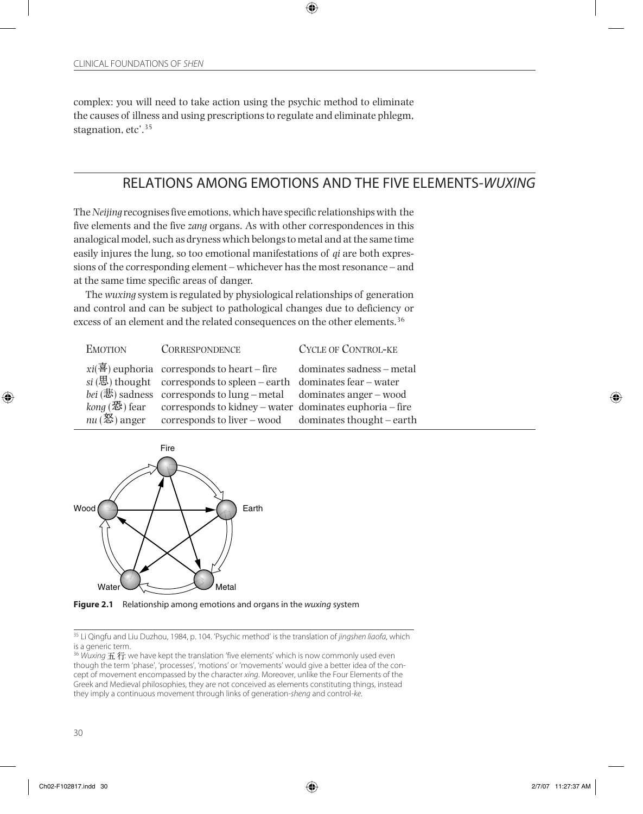complex: you will need to take action using the psychic method to eliminate the causes of illness and using prescriptions to regulate and eliminate phlegm, stagnation, etc'.<sup>35</sup>

## RELATIONS AMONG EMOTIONS AND THE FIVE ELEMENTS-*WUXING*

 $\bigcirc$ 

The *Neijing* recognises five emotions, which have specific relationships with the five elements and the five *zang* organs. As with other correspondences in this analogical model, such as dryness which belongs to metal and at the same time easily injures the lung, so too emotional manifestations of *qi* are both expressions of the corresponding element – whichever has the most resonance – and at the same time specific areas of danger.

The *wuxing* system is regulated by physiological relationships of generation and control and can be subject to pathological changes due to deficiency or excess of an element and the related consequences on the other elements.<sup>36</sup>

| <b>EMOTION</b>          | <b>CORRESPONDENCE</b>                                               | <b>CYCLE OF CONTROL-KE</b> |
|-------------------------|---------------------------------------------------------------------|----------------------------|
|                         | $xi(\overline{B})$ euphoria corresponds to heart – fire             | dominates sadness – metal  |
|                         | si (思) thought corresponds to spleen – earth dominates fear – water |                            |
|                         | bei (悲) sadness corresponds to lung – metal dominates anger – wood  |                            |
| $k$ <i>ong</i> (恐) fear | corresponds to kidney – water dominates euphoria – fire             |                            |
| $nu(\mathcal{X})$ anger | corresponds to liver – wood dominates thought – earth               |                            |



**Figure 2.1** Relationship among emotions and organs in the *wuxing* system

⊕

<sup>35</sup> Li Qingfu and Liu Duzhou, 1984, p. 104. 'Psychic method' is the translation of *jingshen liaofa*, which is a generic term.

<sup>&</sup>lt;sup>36</sup> Wuxing 五行: we have kept the translation 'five elements' which is now commonly used even though the term 'phase', 'processes', 'motions' or 'movements' would give a better idea of the concept of movement encompassed by the character *xing*. Moreover, unlike the Four Elements of the Greek and Medieval philosophies, they are not conceived as elements constituting things, instead they imply a continuous movement through links of generation-*sheng* and control-*ke*.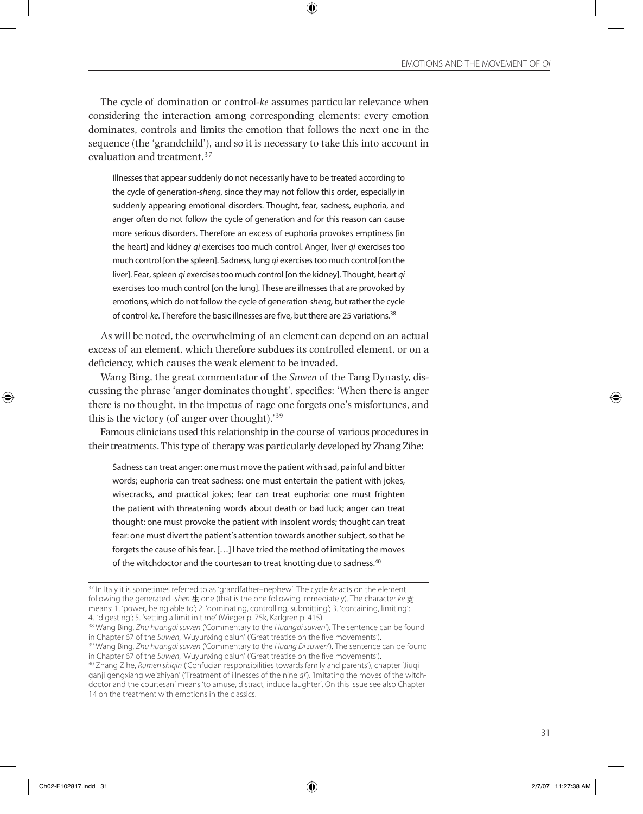The cycle of domination or control-*ke* assumes particular relevance when considering the interaction among corresponding elements: every emotion dominates, controls and limits the emotion that follows the next one in the sequence (the 'grandchild'), and so it is necessary to take this into account in evaluation and treatment.37

 $\circledast$ 

Illnesses that appear suddenly do not necessarily have to be treated according to the cycle of generation-*sheng*, since they may not follow this order, especially in suddenly appearing emotional disorders. Thought, fear, sadness, euphoria, and anger often do not follow the cycle of generation and for this reason can cause more serious disorders. Therefore an excess of euphoria provokes emptiness [in the heart] and kidney *qi* exercises too much control. Anger, liver *qi* exercises too much control [on the spleen]. Sadness, lung *qi* exercises too much control [on the liver]. Fear, spleen *qi* exercises too much control [on the kidney]. Thought, heart *qi* exercises too much control [on the lung]. These are illnesses that are provoked by emotions, which do not follow the cycle of generation-*sheng,* but rather the cycle of control-*ke*. Therefore the basic illnesses are five, but there are 25 variations.<sup>38</sup>

As will be noted, the overwhelming of an element can depend on an actual excess of an element, which therefore subdues its controlled element, or on a deficiency, which causes the weak element to be invaded.

Wang Bing, the great commentator of the *Suwen* of the Tang Dynasty, discussing the phrase 'anger dominates thought', specifies: 'When there is anger there is no thought, in the impetus of rage one forgets one's misfortunes, and this is the victory (of anger over thought).'39

Famous clinicians used this relationship in the course of various procedures in their treatments. This type of therapy was particularly developed by Zhang Zihe:

Sadness can treat anger: one must move the patient with sad, painful and bitter words; euphoria can treat sadness: one must entertain the patient with jokes, wisecracks, and practical jokes; fear can treat euphoria: one must frighten the patient with threatening words about death or bad luck; anger can treat thought: one must provoke the patient with insolent words; thought can treat fear: one must divert the patient's attention towards another subject, so that he forgets the cause of his fear. […] I have tried the method of imitating the moves of the witchdoctor and the courtesan to treat knotting due to sadness.<sup>40</sup>

38 Wang Bing, *Zhu huangdi suwen* ('Commentary to the *Huangdi suwen*'). The sentence can be found in Chapter 67 of the *Suwen*, 'Wuyunxing dalun' ('Great treatise on the five movements'). 39 Wang Bing, *Zhu huangdi suwen* ('Commentary to the *Huang Di suwen*'). The sentence can be found

<sup>37</sup> In Italy it is sometimes referred to as 'grandfather–nephew'. The cycle *ke* acts on the element following the generated -*shen* 生 one (that is the one following immediately). The character *ke* 克 means: 1. 'power, being able to'; 2. 'dominating, controlling, submitting'; 3. 'containing, limiting'; 4. 'digesting'; 5. 'setting a limit in time' (Wieger p. 75k, Karlgren p. 415).

in Chapter 67 of the *Suwen*, 'Wuyunxing dalun' ('Great treatise on the five movements'). 40 Zhang Zihe, *Rumen shiqin* ('Confucian responsibilities towards family and parents'), chapter 'Jiuqi ganji gengxiang weizhiyan' ('Treatment of illnesses of the nine *qi*'). 'Imitating the moves of the witchdoctor and the courtesan' means 'to amuse, distract, induce laughter'. On this issue see also Chapter 14 on the treatment with emotions in the classics.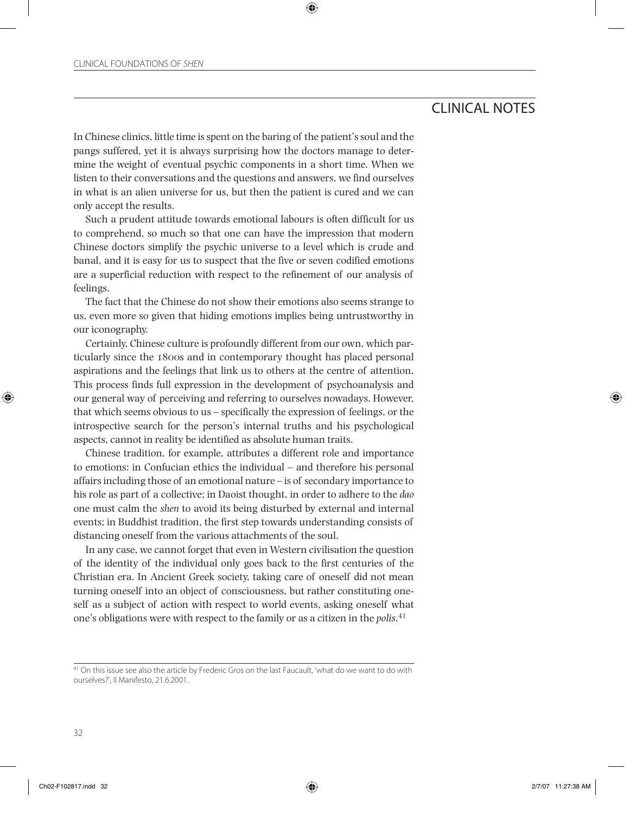# CLINICAL NOTES

In Chinese clinics, little time is spent on the baring of the patient's soul and the pangs suffered, yet it is always surprising how the doctors manage to determine the weight of eventual psychic components in a short time. When we listen to their conversations and the questions and answers, we find ourselves in what is an alien universe for us, but then the patient is cured and we can only accept the results.

 $\bigcirc$ 

Such a prudent attitude towards emotional labours is often difficult for us to comprehend, so much so that one can have the impression that modern Chinese doctors simplify the psychic universe to a level which is crude and banal, and it is easy for us to suspect that the five or seven codified emotions are a superficial reduction with respect to the refinement of our analysis of feelings.

The fact that the Chinese do not show their emotions also seems strange to us, even more so given that hiding emotions implies being untrustworthy in our iconography.

Certainly, Chinese culture is profoundly different from our own, which particularly since the 1800s and in contemporary thought has placed personal aspirations and the feelings that link us to others at the centre of attention. This process finds full expression in the development of psychoanalysis and our general way of perceiving and referring to ourselves nowadays. However, that which seems obvious to us – specifically the expression of feelings, or the introspective search for the person's internal truths and his psychological aspects, cannot in reality be identified as absolute human traits.

Chinese tradition, for example, attributes a different role and importance to emotions: in Confucian ethics the individual – and therefore his personal affairs including those of an emotional nature – is of secondary importance to his role as part of a collective; in Daoist thought, in order to adhere to the *dao* one must calm the *shen* to avoid its being disturbed by external and internal events; in Buddhist tradition, the first step towards understanding consists of distancing oneself from the various attachments of the soul.

In any case, we cannot forget that even in Western civilisation the question of the identity of the individual only goes back to the first centuries of the Christian era. In Ancient Greek society, taking care of oneself did not mean turning oneself into an object of consciousness, but rather constituting oneself as a subject of action with respect to world events, asking oneself what one's obligations were with respect to the family or as a citizen in the *polis*. 41

⊕

<sup>41</sup> On this issue see also the article by Frederic Gros on the last Faucault, 'what do we want to do with ourselves?', Il Manifesto, 21.6.2001.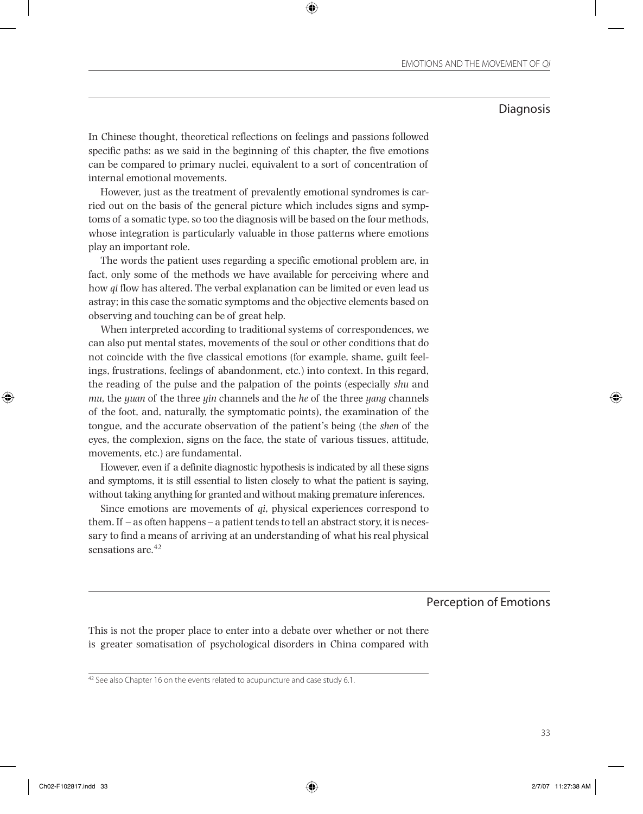## Diagnosis

In Chinese thought, theoretical reflections on feelings and passions followed specific paths: as we said in the beginning of this chapter, the five emotions can be compared to primary nuclei, equivalent to a sort of concentration of internal emotional movements.

 $\bigcirc$ 

However, just as the treatment of prevalently emotional syndromes is carried out on the basis of the general picture which includes signs and symptoms of a somatic type, so too the diagnosis will be based on the four methods, whose integration is particularly valuable in those patterns where emotions play an important role.

The words the patient uses regarding a specific emotional problem are, in fact, only some of the methods we have available for perceiving where and how *qi* flow has altered. The verbal explanation can be limited or even lead us astray; in this case the somatic symptoms and the objective elements based on observing and touching can be of great help.

When interpreted according to traditional systems of correspondences, we can also put mental states, movements of the soul or other conditions that do not coincide with the five classical emotions (for example, shame, guilt feelings, frustrations, feelings of abandonment, etc.) into context. In this regard, the reading of the pulse and the palpation of the points (especially *shu* and *mu*, the *yuan* of the three *yin* channels and the *he* of the three *yang* channels of the foot, and, naturally, the symptomatic points), the examination of the tongue, and the accurate observation of the patient's being (the *shen* of the eyes, the complexion, signs on the face, the state of various tissues, attitude, movements, etc.) are fundamental.

However, even if a definite diagnostic hypothesis is indicated by all these signs and symptoms, it is still essential to listen closely to what the patient is saying, without taking anything for granted and without making premature inferences.

Since emotions are movements of *qi*, physical experiences correspond to them. If – as often happens – a patient tends to tell an abstract story, it is necessary to find a means of arriving at an understanding of what his real physical sensations are. $42$ 

## Perception of Emotions

This is not the proper place to enter into a debate over whether or not there is greater somatisation of psychological disorders in China compared with

⊕

<sup>42</sup> See also Chapter 16 on the events related to acupuncture and case study 6.1.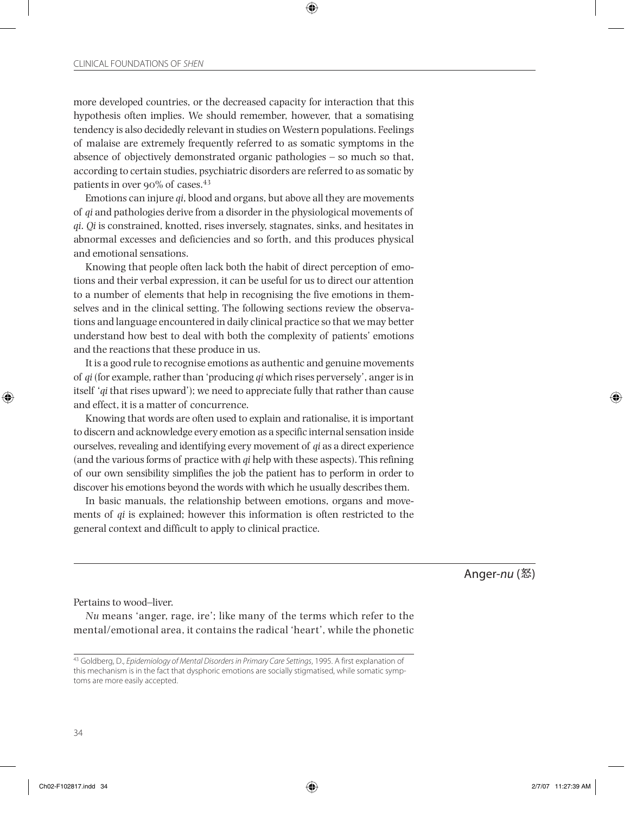more developed countries, or the decreased capacity for interaction that this hypothesis often implies. We should remember, however, that a somatising tendency is also decidedly relevant in studies on Western populations. Feelings of malaise are extremely frequently referred to as somatic symptoms in the absence of objectively demonstrated organic pathologies – so much so that, according to certain studies, psychiatric disorders are referred to as somatic by patients in over 90% of cases.<sup>43</sup>

⊕

Emotions can injure *qi*, blood and organs, but above all they are movements of *qi* and pathologies derive from a disorder in the physiological movements of *qi*. *Qi* is constrained, knotted, rises inversely, stagnates, sinks, and hesitates in abnormal excesses and deficiencies and so forth, and this produces physical and emotional sensations.

Knowing that people often lack both the habit of direct perception of emotions and their verbal expression, it can be useful for us to direct our attention to a number of elements that help in recognising the five emotions in themselves and in the clinical setting. The following sections review the observations and language encountered in daily clinical practice so that we may better understand how best to deal with both the complexity of patients' emotions and the reactions that these produce in us.

It is a good rule to recognise emotions as authentic and genuine movements of *qi* (for example, rather than 'producing *qi* which rises perversely', anger is in itself '*qi* that rises upward'); we need to appreciate fully that rather than cause and effect, it is a matter of concurrence.

Knowing that words are often used to explain and rationalise, it is important to discern and acknowledge every emotion as a specific internal sensation inside ourselves, revealing and identifying every movement of *qi* as a direct experience (and the various forms of practice with *qi* help with these aspects). This refining of our own sensibility simplifies the job the patient has to perform in order to discover his emotions beyond the words with which he usually describes them.

In basic manuals, the relationship between emotions, organs and movements of *qi* is explained; however this information is often restricted to the general context and difficult to apply to clinical practice.

Anger-nu<sup>(怒)</sup>

Pertains to wood–liver.

*Nu* means 'anger, rage, ire'; like many of the terms which refer to the mental/emotional area, it contains the radical 'heart', while the phonetic

⊕

<sup>43</sup> Goldberg, D., *Epidemiology of Mental Disorders in Primary Care Settings*, 1995. A first explanation of this mechanism is in the fact that dysphoric emotions are socially stigmatised, while somatic symptoms are more easily accepted.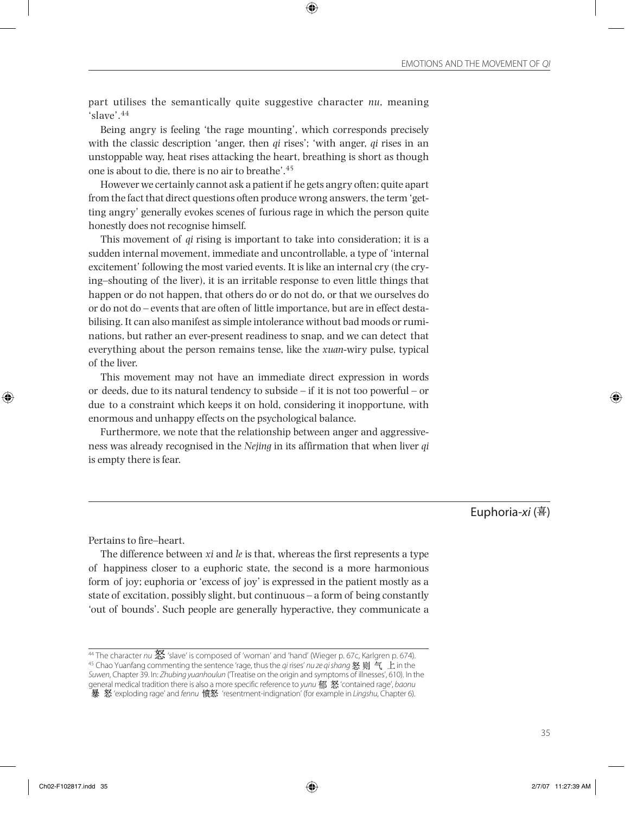part utilises the semantically quite suggestive character *nu*, meaning 'slave'.44

 $\bigcirc$ 

Being angry is feeling 'the rage mounting', which corresponds precisely with the classic description 'anger, then *qi* rises'; 'with anger, *qi* rises in an unstoppable way, heat rises attacking the heart, breathing is short as though one is about to die, there is no air to breathe'.45

However we certainly cannot ask a patient if he gets angry often; quite apart from the fact that direct questions often produce wrong answers, the term 'getting angry' generally evokes scenes of furious rage in which the person quite honestly does not recognise himself.

This movement of *qi* rising is important to take into consideration; it is a sudden internal movement, immediate and uncontrollable, a type of 'internal excitement' following the most varied events. It is like an internal cry (the crying–shouting of the liver), it is an irritable response to even little things that happen or do not happen, that others do or do not do, or that we ourselves do or do not do – events that are often of little importance, but are in effect destabilising. It can also manifest as simple intolerance without bad moods or ruminations, but rather an ever-present readiness to snap, and we can detect that everything about the person remains tense, like the *xuan*-wiry pulse, typical of the liver.

This movement may not have an immediate direct expression in words or deeds, due to its natural tendency to subside – if it is not too powerful – or due to a constraint which keeps it on hold, considering it inopportune, with enormous and unhappy effects on the psychological balance.

Furthermore, we note that the relationship between anger and aggressiveness was already recognised in the *Nejing* in its affirmation that when liver *qi* is empty there is fear.

Euphoria-xi (喜)

Pertains to fire–heart.

The difference between *xi* and *le* is that, whereas the first represents a type of happiness closer to a euphoric state, the second is a more harmonious form of joy; euphoria or 'excess of joy' is expressed in the patient mostly as a state of excitation, possibly slight, but continuous – a form of being constantly 'out of bounds'. Such people are generally hyperactive, they communicate a

<sup>&</sup>lt;sup>44</sup> The character *nu* 怒 'slave' is composed of 'woman' and 'hand' (Wieger p. 67c, Karlgren p. 674). <sup>45</sup> Chao Yuanfang commenting the sentence 'rage, thus the *qi* rises' nu ze qi shang 怒 则 气 上 in the *Suwen*, Chapter 39. In: *Zhubing yuanhoulun* ('Treatise on the origin and symptoms of illnesses', 610). In the general medical tradition there is also a more specific reference to *yunu* 郁 怒 'contained rage', *baonu* <sup>[暴</sup>怒 'exploding rage' and *fennu* 愤怒 'resentment-indignation' (for example in *Lingshu*, Chapter 6).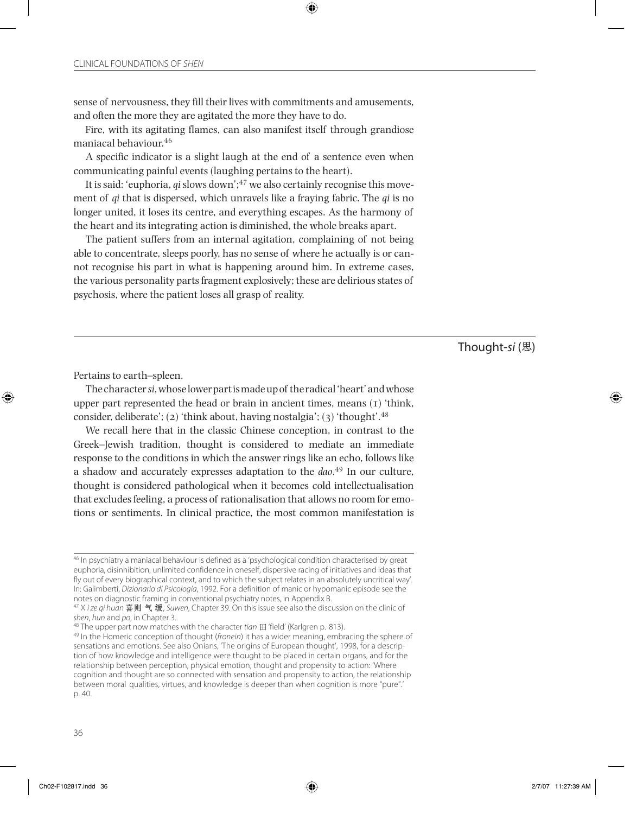sense of nervousness, they fill their lives with commitments and amusements, and often the more they are agitated the more they have to do.

 $\circledast$ 

Fire, with its agitating flames, can also manifest itself through grandiose maniacal behaviour.46

A specific indicator is a slight laugh at the end of a sentence even when communicating painful events (laughing pertains to the heart).

It is said: 'euphoria, *qi* slows down';<sup>47</sup> we also certainly recognise this movement of *qi* that is dispersed, which unravels like a fraying fabric. The *qi* is no longer united, it loses its centre, and everything escapes. As the harmony of the heart and its integrating action is diminished, the whole breaks apart.

The patient suffers from an internal agitation, complaining of not being able to concentrate, sleeps poorly, has no sense of where he actually is or cannot recognise his part in what is happening around him. In extreme cases, the various personality parts fragment explosively; these are delirious states of psychosis, where the patient loses all grasp of reality.

Thought-si<sup>(思)</sup>

⊕

Pertains to earth–spleen.

⊕

The character *si*, whose lower part is made up of the radical 'heart' and whose upper part represented the head or brain in ancient times, means  $(I)$  'think, consider, deliberate'; (2) 'think about, having nostalgia'; (3) 'thought'. $48$ 

We recall here that in the classic Chinese conception, in contrast to the Greek–Jewish tradition, thought is considered to mediate an immediate response to the conditions in which the answer rings like an echo, follows like a shadow and accurately expresses adaptation to the *dao*. 49 In our culture, thought is considered pathological when it becomes cold intellectualisation that excludes feeling, a process of rationalisation that allows no room for emotions or sentiments. In clinical practice, the most common manifestation is

<sup>46</sup> In psychiatry a maniacal behaviour is defined as a 'psychological condition characterised by great euphoria, disinhibition, unlimited confidence in oneself, dispersive racing of initiatives and ideas that fly out of every biographical context, and to which the subject relates in an absolutely uncritical way'. In: Galimberti, *Dizionario di Psicologia*, 1992. For a definition of manic or hypomanic episode see the notes on diagnostic framing in conventional psychiatry notes, in Appendix B.

<sup>&</sup>lt;sup>47</sup> X *i ze qi huan* 喜则 气 缓, Suwen, Chapter 39. On this issue see also the discussion on the clinic of *shen*, *hun* and *po*, in Chapter 3.

<sup>48</sup> The upper part now matches with the character *tian* 'field' (Karlgren p. 813).

<sup>49</sup> In the Homeric conception of thought (*fronein*) it has a wider meaning, embracing the sphere of sensations and emotions. See also Onians, 'The origins of European thought', 1998, for a description of how knowledge and intelligence were thought to be placed in certain organs, and for the relationship between perception, physical emotion, thought and propensity to action: 'Where cognition and thought are so connected with sensation and propensity to action, the relationship between moral qualities, virtues, and knowledge is deeper than when cognition is more "pure".' p. 40.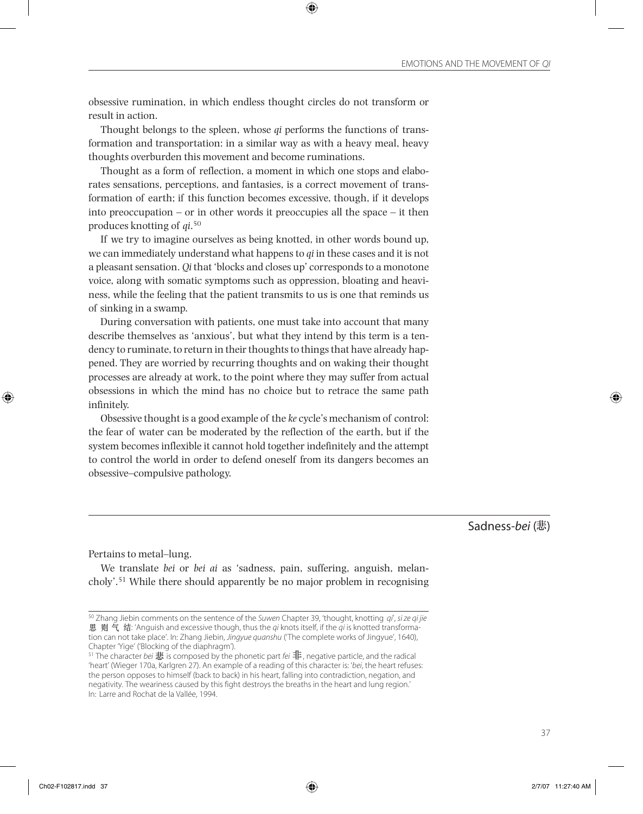obsessive rumination, in which endless thought circles do not transform or result in action.

 $\bigcirc$ 

Thought belongs to the spleen, whose *qi* performs the functions of transformation and transportation: in a similar way as with a heavy meal, heavy thoughts overburden this movement and become ruminations.

Thought as a form of reflection, a moment in which one stops and elaborates sensations, perceptions, and fantasies, is a correct movement of transformation of earth; if this function becomes excessive, though, if it develops into preoccupation – or in other words it preoccupies all the space – it then produces knotting of *qi*. 50

If we try to imagine ourselves as being knotted, in other words bound up, we can immediately understand what happens to *qi* in these cases and it is not a pleasant sensation. *Qi* that 'blocks and closes up' corresponds to a monotone voice, along with somatic symptoms such as oppression, bloating and heaviness, while the feeling that the patient transmits to us is one that reminds us of sinking in a swamp.

During conversation with patients, one must take into account that many describe themselves as 'anxious', but what they intend by this term is a tendency to ruminate, to return in their thoughts to things that have already happened. They are worried by recurring thoughts and on waking their thought processes are already at work, to the point where they may suffer from actual obsessions in which the mind has no choice but to retrace the same path infinitely.

Obsessive thought is a good example of the *ke* cycle's mechanism of control: the fear of water can be moderated by the reflection of the earth, but if the system becomes inflexible it cannot hold together indefinitely and the attempt to control the world in order to defend oneself from its dangers becomes an obsessive–compulsive pathology.

Pertains to metal–lung.

We translate *bei* or *bei ai* as 'sadness, pain, suffering, anguish, melancholy'.51 While there should apparently be no major problem in recognising Sadness-bei<sup>(悲)</sup>

<sup>50</sup> Zhang Jiebin comments on the sentence of the *Suwen* Chapter 39, 'thought, knotting *qi*', *si ze qi jie* 思 则 气 结: 'Anguish and excessive though, thus the *qi* knots itself, if the *qi* is knotted transformation can not take place'. In: Zhang Jiebin, *Jingyue quanshu* (' The complete works of Jingyue', 1640), Chapter 'Yige' ('Blocking of the diaphragm').

<sup>&</sup>lt;sup>51</sup> The character *bei* 悲 is composed by the phonetic part *fei* 非, negative particle, and the radical 'heart' (Wieger 170a, Karlgren 27). An example of a reading of this character is: '*bei*, the heart refuses: the person opposes to himself (back to back) in his heart, falling into contradiction, negation, and negativity. The weariness caused by this fight destroys the breaths in the heart and lung region.' In: Larre and Rochat de la Vallée, 1994.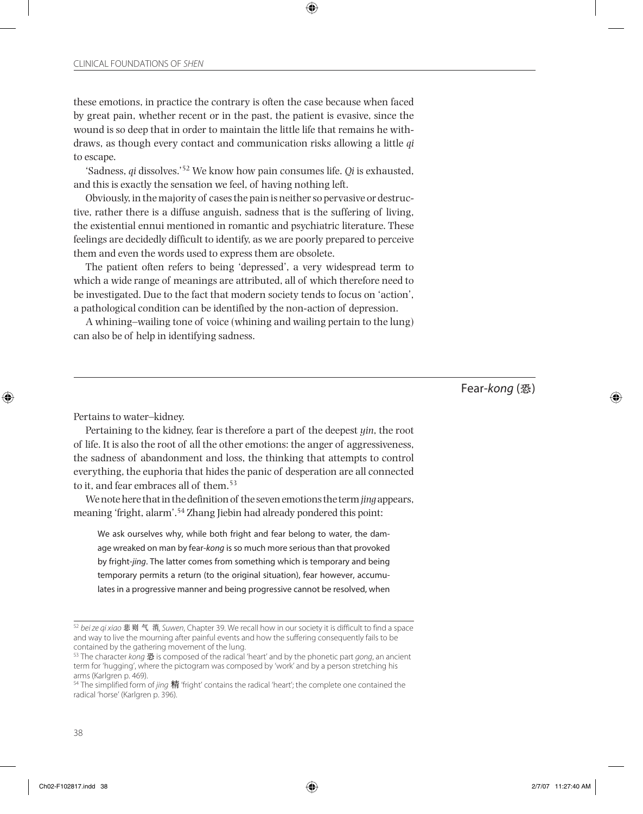these emotions, in practice the contrary is often the case because when faced by great pain, whether recent or in the past, the patient is evasive, since the wound is so deep that in order to maintain the little life that remains he withdraws, as though every contact and communication risks allowing a little *qi* to escape.

⊕

'Sadness, *qi* dissolves.'52 We know how pain consumes life. *Qi* is exhausted, and this is exactly the sensation we feel, of having nothing left.

Obviously, in the majority of cases the pain is neither so pervasive or destructive, rather there is a diffuse anguish, sadness that is the suffering of living, the existential ennui mentioned in romantic and psychiatric literature. These feelings are decidedly difficult to identify, as we are poorly prepared to perceive them and even the words used to express them are obsolete.

The patient often refers to being 'depressed', a very widespread term to which a wide range of meanings are attributed, all of which therefore need to be investigated. Due to the fact that modern society tends to focus on 'action', a pathological condition can be identified by the non-action of depression.

A whining–wailing tone of voice (whining and wailing pertain to the lung) can also be of help in identifying sadness.

Pertains to water–kidney.

⊕

Pertaining to the kidney, fear is therefore a part of the deepest *yin*, the root of life. It is also the root of all the other emotions: the anger of aggressiveness, the sadness of abandonment and loss, the thinking that attempts to control everything, the euphoria that hides the panic of desperation are all connected to it, and fear embraces all of them.<sup>53</sup>

We note here that in the definition of the seven emotions the term *jing* appears, meaning 'fright, alarm'.<sup>54</sup> Zhang Jiebin had already pondered this point:

We ask ourselves why, while both fright and fear belong to water, the damage wreaked on man by fear-*kong* is so much more serious than that provoked by fright-*jing*. The latter comes from something which is temporary and being temporary permits a return (to the original situation), fear however, accumulates in a progressive manner and being progressive cannot be resolved, when Fear-kong<sup>(恐)</sup>

<sup>52</sup> bei ze gi xiao 悲 则 气 消, Suwen, Chapter 39. We recall how in our society it is difficult to find a space and way to live the mourning after painful events and how the suffering consequently fails to be contained by the gathering movement of the lung.

<sup>53</sup> The character *kong* is composed of the radical 'heart' and by the phonetic part *gong*, an ancient term for 'hugging', where the pictogram was composed by 'work' and by a person stretching his arms (Karlgren p. 469).

<sup>&</sup>lt;sup>54</sup> The simplified form of *jing* 精 'fright' contains the radical 'heart'; the complete one contained the radical 'horse' (Karlgren p. 396).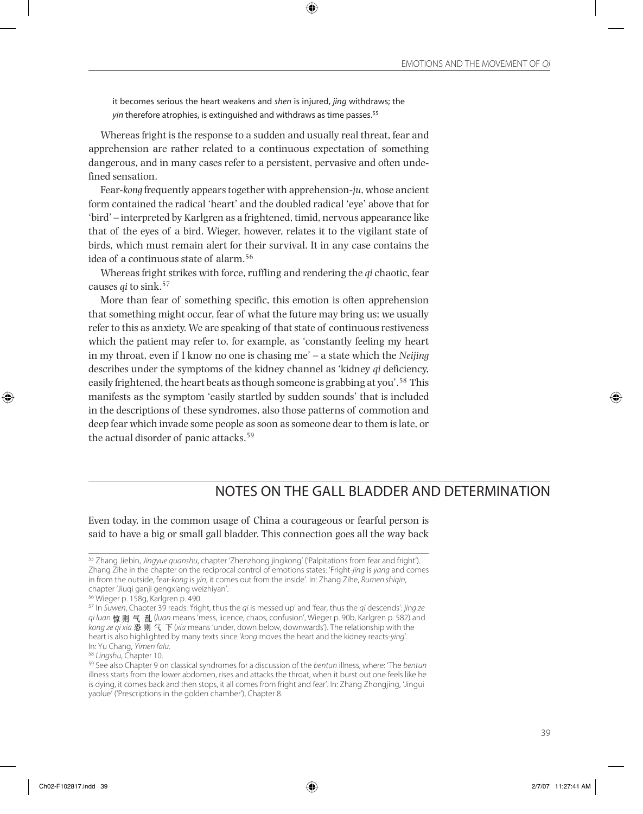it becomes serious the heart weakens and *shen* is injured, *jing* withdraws; the *yin* therefore atrophies, is extinguished and withdraws as time passes.<sup>55</sup>

 $\circledast$ 

Whereas fright is the response to a sudden and usually real threat, fear and apprehension are rather related to a continuous expectation of something dangerous, and in many cases refer to a persistent, pervasive and often undefined sensation.

Fear-*kong* frequently appears together with apprehension-*ju*, whose ancient form contained the radical 'heart' and the doubled radical 'eye' above that for 'bird' – interpreted by Karlgren as a frightened, timid, nervous appearance like that of the eyes of a bird. Wieger, however, relates it to the vigilant state of birds, which must remain alert for their survival. It in any case contains the idea of a continuous state of alarm.56

Whereas fright strikes with force, ruffling and rendering the *qi* chaotic, fear causes *qi* to sink.<sup>57</sup>

More than fear of something specific, this emotion is often apprehension that something might occur, fear of what the future may bring us; we usually refer to this as anxiety. We are speaking of that state of continuous restiveness which the patient may refer to, for example, as 'constantly feeling my heart in my throat, even if I know no one is chasing me' – a state which the *Neijing* describes under the symptoms of the kidney channel as 'kidney *qi* deficiency, easily frightened, the heart beats as though someone is grabbing at you'.<sup>58</sup> This manifests as the symptom 'easily startled by sudden sounds' that is included in the descriptions of these syndromes, also those patterns of commotion and deep fear which invade some people as soon as someone dear to them is late, or the actual disorder of panic attacks.59

## NOTES ON THE GALL BLADDER AND DETERMINATION

Even today, in the common usage of China a courageous or fearful person is said to have a big or small gall bladder. This connection goes all the way back

<sup>55</sup> Zhang Jiebin, *Jingyue quanshu*, chapter 'Zhenzhong jingkong' ('Palpitations from fear and fright'). Zhang Zihe in the chapter on the reciprocal control of emotions states: 'Fright-*jing* is *yang* and comes in from the outside, fear-*kong* is *yin*, it comes out from the inside'. In: Zhang Zihe, *Rumen shiqin*, chapter 'Jiuqi ganji gengxiang weizhiyan'.

<sup>56</sup> Wieger p. 158g, Karlgren p. 490.

<sup>57</sup> In *Suwen*, Chapter 39 reads: 'fright, thus the *qi* is messed up' and 'fear, thus the *qi* descends': *jing ze qi luan* (*luan* means 'mess, licence, chaos, confusion', Wieger p. 90b, Karlgren p. 582) and *kong ze qi xia* (*xia* means 'under, down below, downwards'). The relationship with the heart is also highlighted by many texts since '*kong* moves the heart and the kidney reacts-*ying*'. In: Yu Chang, *Yimen falu*.

<sup>58</sup> *Lingshu*, Chapter 10.

<sup>59</sup> See also Chapter 9 on classical syndromes for a discussion of the *bentun* illness, where: ' The *bentun* illness starts from the lower abdomen, rises and attacks the throat, when it burst out one feels like he is dying, it comes back and then stops, it all comes from fright and fear'. In: Zhang Zhongjing, 'Jingui yaolue' ('Prescriptions in the golden chamber'), Chapter 8.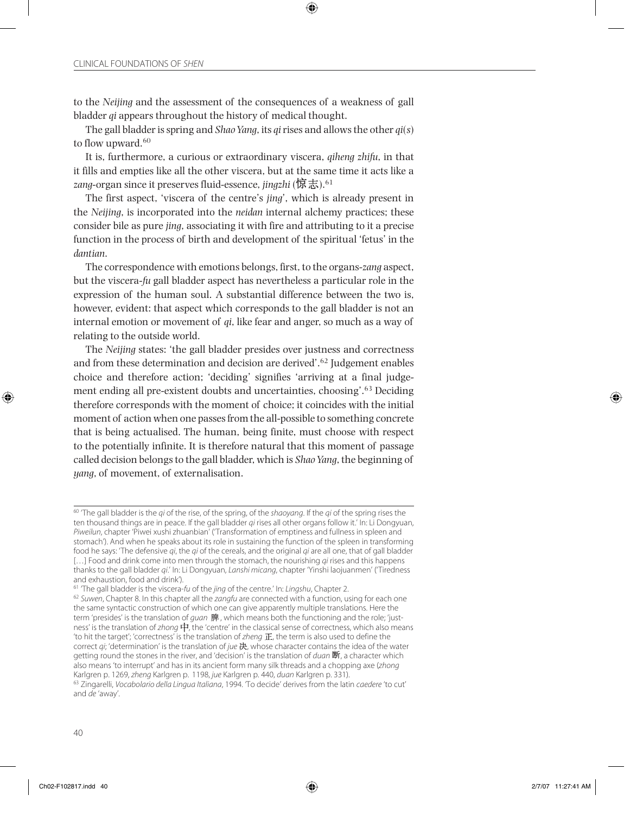to the *Neijing* and the assessment of the consequences of a weakness of gall bladder *qi* appears throughout the history of medical thought.

⊕

The gall bladder is spring and *Shao Yang*, its *qi* rises and allows the other *qi*(*s*) to flow upward.<sup>60</sup>

It is, furthermore, a curious or extraordinary viscera, *qiheng zhifu*, in that it fills and empties like all the other viscera, but at the same time it acts like a zang-organ since it preserves fluid-essence, *jingzhi* (惊志).<sup>61</sup>

The first aspect, 'viscera of the centre's *jing*', which is already present in the *Neijing*, is incorporated into the *neidan* internal alchemy practices; these consider bile as pure *jing*, associating it with fire and attributing to it a precise function in the process of birth and development of the spiritual 'fetus' in the *dantian*.

The correspondence with emotions belongs, first, to the organs-*zang* aspect, but the viscera-*fu* gall bladder aspect has nevertheless a particular role in the expression of the human soul. A substantial difference between the two is, however, evident: that aspect which corresponds to the gall bladder is not an internal emotion or movement of *qi*, like fear and anger, so much as a way of relating to the outside world.

The *Neijing* states: 'the gall bladder presides over justness and correctness and from these determination and decision are derived'.62 Judgement enables choice and therefore action; 'deciding' signifies 'arriving at a final judgement ending all pre-existent doubts and uncertainties, choosing'.63 Deciding therefore corresponds with the moment of choice; it coincides with the initial moment of action when one passes from the all-possible to something concrete that is being actualised. The human, being finite, must choose with respect to the potentially infinite. It is therefore natural that this moment of passage called decision belongs to the gall bladder, which is *Shao Yang*, the beginning of *yang*, of movement, of externalisation.

<sup>60 &#</sup>x27; The gall bladder is the *qi* of the rise, of the spring, of the *shaoyang*. If the *qi* of the spring rises the ten thousand things are in peace. If the gall bladder *qi* rises all other organs follow it.' In: Li Dongyuan, *Piweilun*, chapter 'Piwei xushi zhuanbian' (' Transformation of emptiness and fullness in spleen and stomach'). And when he speaks about its role in sustaining the function of the spleen in transforming food he says: ' The defensive *qi*, the *qi* of the cereals, and the original *qi* are all one, that of gall bladder […] Food and drink come into men through the stomach, the nourishing *qi* rises and this happens thanks to the gall bladder *qi*.' In: Li Dongyuan, *Lanshi micang*, chapter 'Yinshi laojuanmen' (' Tiredness and exhaustion, food and drink').

<sup>61 &#</sup>x27;The gall bladder is the viscera-*fu* of the *jing* of the centre.' In: *Lingshu*, Chapter 2.

<sup>62</sup> *Suwen*, Chapter 8. In this chapter all the *zangfu* are connected with a function, using for each one the same syntactic construction of which one can give apparently multiple translations. Here the term 'presides' is the translation of *guan* 脾, which means both the functioning and the role; 'justness' is the translation of *zhong* 中, the 'centre' in the classical sense of correctness, which also means 'to hit the target'; 'correctness' is the translation of *zheng* , the term is also used to define the correct *qi*; 'determination' is the translation of *jue* 决, whose character contains the idea of the water getting round the stones in the river, and 'decision' is the translation of *duan* 断, a character which also means 'to interrupt' and has in its ancient form many silk threads and a chopping axe (*zhong* Karlgren p. 1269, *zheng* Karlgren p. 1198, *jue* Karlgren p. 440, *duan* Karlgren p. 331).

<sup>63</sup> Zingarelli, *Vocabolario della Lingua Italiana*, 1994. 'To decide' derives from the latin *caedere* 'to cut' and *de* 'away'.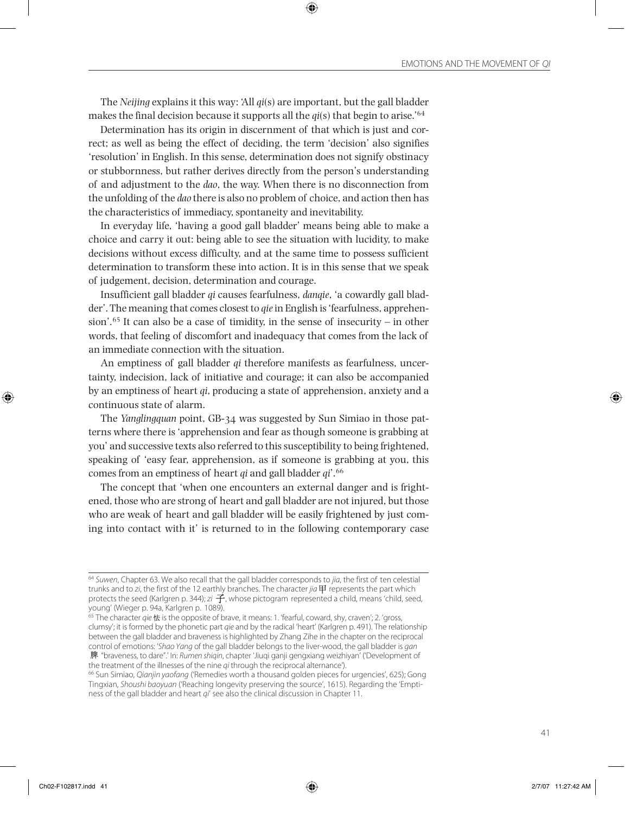The *Neijing* explains it this way: 'All *qi*(s) are important, but the gall bladder makes the final decision because it supports all the *qi*(s) that begin to arise.'64

⊕

Determination has its origin in discernment of that which is just and correct; as well as being the effect of deciding, the term 'decision' also signifies 'resolution' in English. In this sense, determination does not signify obstinacy or stubbornness, but rather derives directly from the person's understanding of and adjustment to the *dao*, the way. When there is no disconnection from the unfolding of the *dao* there is also no problem of choice, and action then has the characteristics of immediacy, spontaneity and inevitability.

In everyday life, 'having a good gall bladder' means being able to make a choice and carry it out: being able to see the situation with lucidity, to make decisions without excess difficulty, and at the same time to possess sufficient determination to transform these into action. It is in this sense that we speak of judgement, decision, determination and courage.

Insufficient gall bladder *qi* causes fearfulness, *danqie*, 'a cowardly gall bladder'. The meaning that comes closest to *qie* in English is 'fearfulness, apprehension'.<sup>65</sup> It can also be a case of timidity, in the sense of insecurity – in other words, that feeling of discomfort and inadequacy that comes from the lack of an immediate connection with the situation.

An emptiness of gall bladder *qi* therefore manifests as fearfulness, uncertainty, indecision, lack of initiative and courage; it can also be accompanied by an emptiness of heart *qi*, producing a state of apprehension, anxiety and a continuous state of alarm.

The *Yanglingquan* point, GB-34 was suggested by Sun Simiao in those patterns where there is 'apprehension and fear as though someone is grabbing at you' and successive texts also referred to this susceptibility to being frightened, speaking of 'easy fear, apprehension, as if someone is grabbing at you, this comes from an emptiness of heart *qi* and gall bladder *qi*'.66

The concept that 'when one encounters an external danger and is frightened, those who are strong of heart and gall bladder are not injured, but those who are weak of heart and gall bladder will be easily frightened by just coming into contact with it' is returned to in the following contemporary case

<sup>65</sup> The character *qie* 怯 is the opposite of brave, it means: 1. 'fearful, coward, shy, craven'; 2. 'gross, clumsy'; it is formed by the phonetic part *qie* and by the radical 'heart' (Karlgren p. 491). The relationship between the gall bladder and braveness is highlighted by Zhang Zihe in the chapter on the reciprocal control of emotions: '*Shao Yang* of the gall bladder belongs to the liver-wood, the gall bladder is *gan* "braveness, to dare".' In: *Rumen shiqin*, chapter 'Jiuqi ganji gengxiang weizhiyan' ('Development of the treatment of the illnesses of the nine *qi* through the reciprocal alternance').

<sup>64</sup> *Suwen*, Chapter 63. We also recall that the gall bladder corresponds to *jia*, the first of ten celestial trunks and to *zi*, the first of the 12 earthly branches. The character *jia* 甲 represents the part which protects the seed (Karlgren p. 344); *zi* 子, whose pictogram represented a child, means 'child, seed, young' (Wieger p. 94a, Karlgren p. 1089).

<sup>66</sup> Sun Simiao, *Qianjin yaofang* ('Remedies worth a thousand golden pieces for urgencies', 625); Gong Tingxian, *Shoushi baoyuan* ('Reaching longevity preserving the source', 1615). Regarding the 'Emptiness of the gall bladder and heart *qi*' see also the clinical discussion in Chapter 11.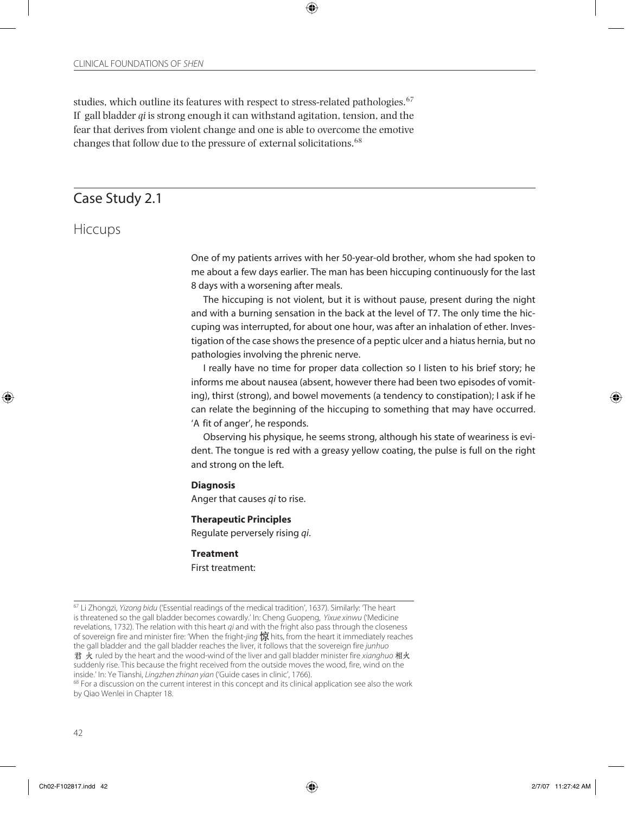studies, which outline its features with respect to stress-related pathologies.<sup>67</sup> If gall bladder *qi* is strong enough it can withstand agitation, tension, and the fear that derives from violent change and one is able to overcome the emotive changes that follow due to the pressure of external solicitations.<sup>68</sup>

 $\bigcirc$ 

## Case Study 2.1

## **Hiccups**

⊕

One of my patients arrives with her 50-year-old brother, whom she had spoken to me about a few days earlier. The man has been hiccuping continuously for the last 8 days with a worsening after meals.

The hiccuping is not violent, but it is without pause, present during the night and with a burning sensation in the back at the level of T7. The only time the hiccuping was interrupted, for about one hour, was after an inhalation of ether. Investigation of the case shows the presence of a peptic ulcer and a hiatus hernia, but no pathologies involving the phrenic nerve.

I really have no time for proper data collection so I listen to his brief story; he informs me about nausea (absent, however there had been two episodes of vomiting), thirst (strong), and bowel movements (a tendency to constipation); I ask if he can relate the beginning of the hiccuping to something that may have occurred. 'A fit of anger', he responds.

Observing his physique, he seems strong, although his state of weariness is evident. The tongue is red with a greasy yellow coating, the pulse is full on the right and strong on the left.

#### **Diagnosis**

Anger that causes *qi* to rise.

#### **Therapeutic Principles**

Regulate perversely rising *qi*.

#### **Treatment**

First treatment:

<sup>67</sup> Li Zhongzi, *Yizong bidu* ('Essential readings of the medical tradition', 1637). Similarly: 'The heart is threatened so the gall bladder becomes cowardly.' In: Cheng Guopeng, *Yixue xinwu* ('Medicine revelations, 1732). The relation with this heart *qi* and with the fright also pass through the closeness of sovereign fire and minister fire: 'When the fright-*jing* hits, from the heart it immediately reaches the gall bladder and the gall bladder reaches the liver, it follows that the sovereign fire *junhuo* 君 火 ruled by the heart and the wood-wind of the liver and gall bladder minister fire *xianghuo* 相火 suddenly rise. This because the fright received from the outside moves the wood, fire, wind on the inside.' In: Ye Tianshi, *Lingzhen zhinan yian* ('Guide cases in clinic', 1766).

<sup>&</sup>lt;sup>68</sup> For a discussion on the current interest in this concept and its clinical application see also the work by Qiao Wenlei in Chapter 18.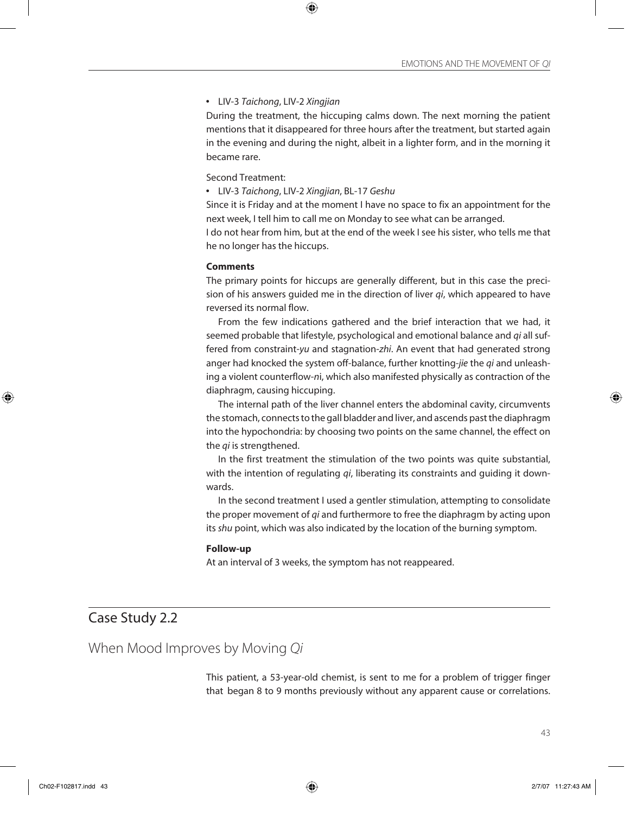#### ● LIV-3 *Taichong*, LIV-2 *Xingjian*

During the treatment, the hiccuping calms down. The next morning the patient mentions that it disappeared for three hours after the treatment, but started again in the evening and during the night, albeit in a lighter form, and in the morning it became rare.

#### Second Treatment:

● LIV-3 *Taichong*, LIV-2 *Xingjian*, BL-17 *Geshu*

 $\bigoplus$ 

Since it is Friday and at the moment I have no space to fix an appointment for the next week, I tell him to call me on Monday to see what can be arranged.

I do not hear from him, but at the end of the week I see his sister, who tells me that he no longer has the hiccups.

## **Comments**

The primary points for hiccups are generally different, but in this case the precision of his answers guided me in the direction of liver *qi*, which appeared to have reversed its normal flow.

From the few indications gathered and the brief interaction that we had, it seemed probable that lifestyle, psychological and emotional balance and *qi* all suffered from constraint*-yu* and stagnation-*zhi*. An event that had generated strong anger had knocked the system off-balance, further knotting-*jie* the *qi* and unleashing a violent counterflow-*n*i, which also manifested physically as contraction of the diaphragm, causing hiccuping.

The internal path of the liver channel enters the abdominal cavity, circumvents the stomach, connects to the gall bladder and liver, and ascends past the diaphragm into the hypochondria: by choosing two points on the same channel, the effect on the *qi* is strengthened.

In the first treatment the stimulation of the two points was quite substantial, with the intention of regulating *qi*, liberating its constraints and guiding it downwards.

In the second treatment I used a gentler stimulation, attempting to consolidate the proper movement of *qi* and furthermore to free the diaphragm by acting upon its *shu* point, which was also indicated by the location of the burning symptom.

#### **Follow-up**

At an interval of 3 weeks, the symptom has not reappeared.

# Case Study 2.2

## When Mood Improves by Moving *Qi*

This patient, a 53-year-old chemist, is sent to me for a problem of trigger finger that began 8 to 9 months previously without any apparent cause or correlations.

⊕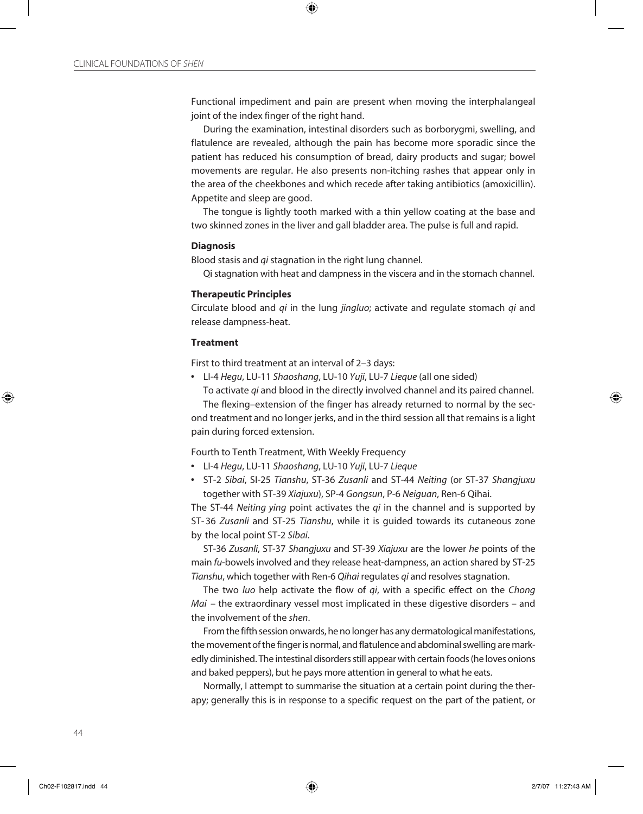Functional impediment and pain are present when moving the interphalangeal joint of the index finger of the right hand.

During the examination, intestinal disorders such as borborygmi, swelling, and flatulence are revealed, although the pain has become more sporadic since the patient has reduced his consumption of bread, dairy products and sugar; bowel movements are regular. He also presents non-itching rashes that appear only in the area of the cheekbones and which recede after taking antibiotics (amoxicillin). Appetite and sleep are good.

The tongue is lightly tooth marked with a thin yellow coating at the base and two skinned zones in the liver and gall bladder area. The pulse is full and rapid.

#### **Diagnosis**

Blood stasis and *qi* stagnation in the right lung channel.

 $\bigcirc$ 

Qi stagnation with heat and dampness in the viscera and in the stomach channel.

#### **Therapeutic Principles**

Circulate blood and *qi* in the lung *jingluo*; activate and regulate stomach *qi* and release dampness-heat.

#### **Treatment**

First to third treatment at an interval of 2–3 days:

● LI-4 *Hegu*, LU-11 *Shaoshang*, LU-10 *Yuji*, LU-7 *Lieque* (all one sided)

To activate *qi* and blood in the directly involved channel and its paired channel. The flexing–extension of the finger has already returned to normal by the second treatment and no longer jerks, and in the third session all that remains is a light pain during forced extension.

Fourth to Tenth Treatment, With Weekly Frequency

- LI-4 *Hegu*, LU-11 *Shaoshang*, LU-10 *Yuji*, LU-7 *Lieque*
- ST-2 *Sibai*, SI-25 *Tianshu*, ST-36 *Zusanli* and ST-44 *Neiting* (or ST-37 *Shangjuxu* together with ST-39 *Xiajuxu*), SP-4 *Gongsun*, P-6 *Neiguan*, Ren-6 Qihai.

The ST-44 *Neiting ying* point activates the *qi* in the channel and is supported by ST- 36 *Zusanli* and ST-25 *Tianshu*, while it is guided towards its cutaneous zone by the local point ST-2 *Sibai*.

ST-36 *Zusanli*, ST-37 *Shangjuxu* and ST-39 *Xiajuxu* are the lower *he* points of the main *fu*-bowels involved and they release heat-dampness, an action shared by ST-25 *Tianshu*, which together with Ren-6 *Qihai* regulates *qi* and resolves stagnation.

The two *luo* help activate the flow of *qi*, with a specific effect on the *Chong Mai* – the extraordinary vessel most implicated in these digestive disorders – and the involvement of the *shen*.

From the fifth session onwards, he no longer has any dermatological manifestations, the movement of the finger is normal, and flatulence and abdominal swelling are markedly diminished. The intestinal disorders still appear with certain foods (he loves onions and baked peppers), but he pays more attention in general to what he eats.

Normally, I attempt to summarise the situation at a certain point during the therapy; generally this is in response to a specific request on the part of the patient, or

⊕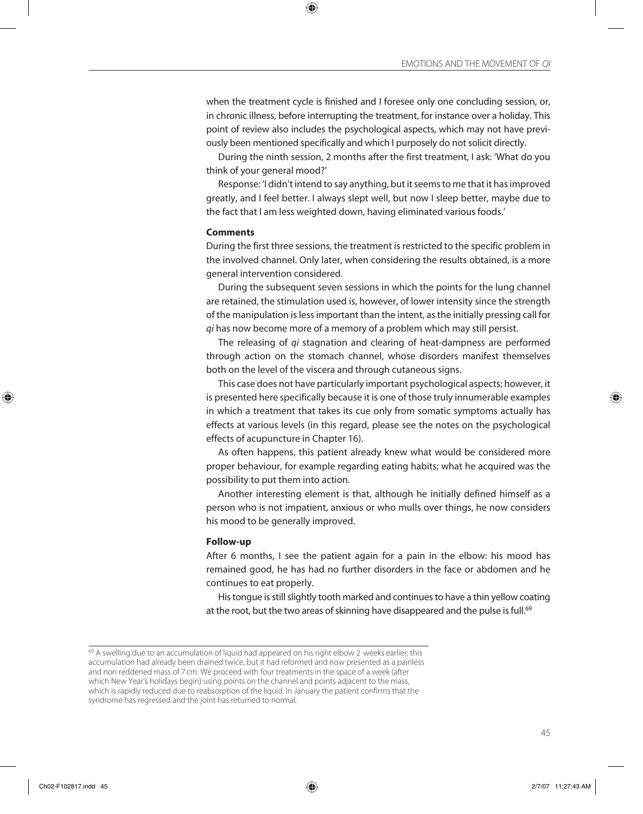when the treatment cycle is finished and I foresee only one concluding session, or, in chronic illness, before interrupting the treatment, for instance over a holiday. This point of review also includes the psychological aspects, which may not have previously been mentioned specifically and which I purposely do not solicit directly.

⊕

During the ninth session, 2 months after the first treatment, I ask: 'What do you think of your general mood?'

Response: 'I didn't intend to say anything, but it seems to me that it has improved greatly, and I feel better. I always slept well, but now I sleep better, maybe due to the fact that I am less weighted down, having eliminated various foods.'

#### **Comments**

During the first three sessions, the treatment is restricted to the specific problem in the involved channel. Only later, when considering the results obtained, is a more general intervention considered.

During the subsequent seven sessions in which the points for the lung channel are retained, the stimulation used is, however, of lower intensity since the strength of the manipulation is less important than the intent, as the initially pressing call for *qi* has now become more of a memory of a problem which may still persist.

The releasing of *qi* stagnation and clearing of heat-dampness are performed through action on the stomach channel, whose disorders manifest themselves both on the level of the viscera and through cutaneous signs.

This case does not have particularly important psychological aspects; however, it is presented here specifically because it is one of those truly innumerable examples in which a treatment that takes its cue only from somatic symptoms actually has effects at various levels (in this regard, please see the notes on the psychological effects of acupuncture in Chapter 16).

As often happens, this patient already knew what would be considered more proper behaviour, for example regarding eating habits; what he acquired was the possibility to put them into action.

Another interesting element is that, although he initially defined himself as a person who is not impatient, anxious or who mulls over things, he now considers his mood to be generally improved.

#### **Follow-up**

After 6 months, I see the patient again for a pain in the elbow: his mood has remained good, he has had no further disorders in the face or abdomen and he continues to eat properly.

His tongue is still slightly tooth marked and continues to have a thin yellow coating at the root, but the two areas of skinning have disappeared and the pulse is full.<sup>69</sup>

<sup>&</sup>lt;sup>69</sup> A swelling due to an accumulation of liquid had appeared on his right elbow 2 weeks earlier; this accumulation had already been drained twice, but it had reformed and now presented as a painless and non reddened mass of 7 cm. We proceed with four treatments in the space of a week (after which New Year's holidays begin) using points on the channel and points adjacent to the mass, which is rapidly reduced due to reabsorption of the liquid. In January the patient confirms that the syndrome has regressed and the joint has returned to normal.